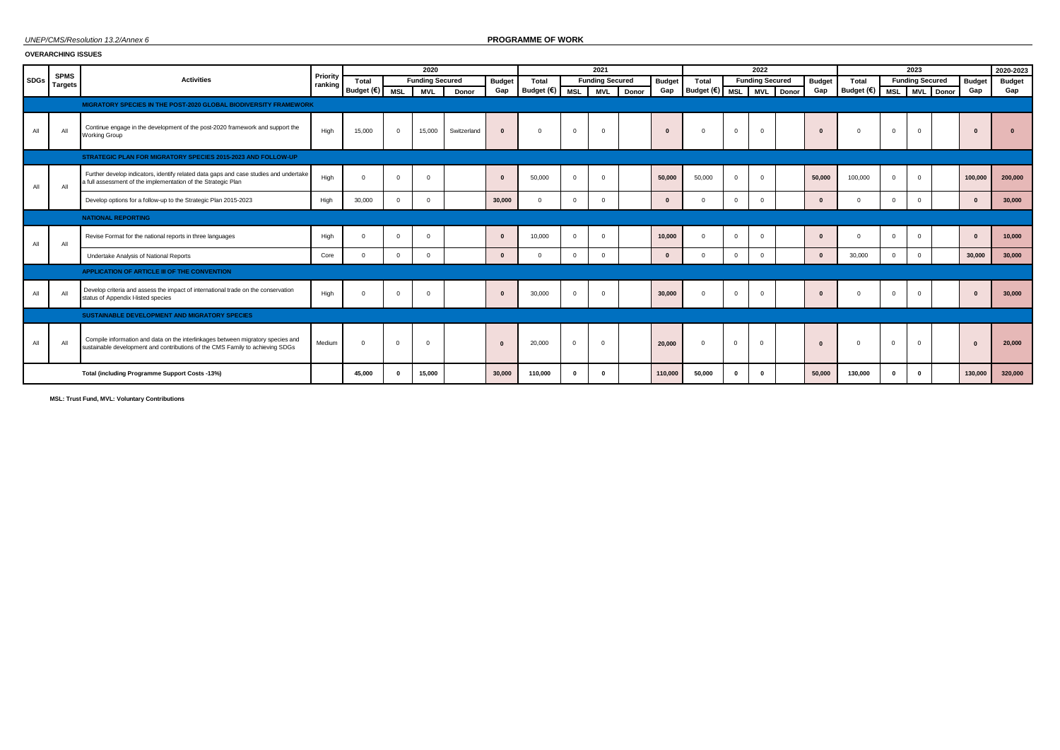### *UNEP/CMS/Resolution 13.2/Annex 6* **PROGRAMME OF WORK**

### **OVERARCHING ISSUES**

|             |                               |                                                                                                                                                                  |                     |            |            | 2020                   |             |               |            |              | 2021                   |       |               |                         |            | 2022                   |       |               |                    |             | 2023                   |           |               | 2020-2023     |
|-------------|-------------------------------|------------------------------------------------------------------------------------------------------------------------------------------------------------------|---------------------|------------|------------|------------------------|-------------|---------------|------------|--------------|------------------------|-------|---------------|-------------------------|------------|------------------------|-------|---------------|--------------------|-------------|------------------------|-----------|---------------|---------------|
| <b>SDGs</b> | <b>SPMS</b><br><b>Targets</b> | <b>Activities</b>                                                                                                                                                | Priority<br>ranking | Total      |            | <b>Funding Secured</b> |             | <b>Budget</b> | Total      |              | <b>Funding Secured</b> |       | <b>Budget</b> | Total                   |            | <b>Funding Secured</b> |       | <b>Budget</b> | Total              |             | <b>Funding Secured</b> |           | <b>Budget</b> | <b>Budget</b> |
|             |                               |                                                                                                                                                                  |                     | Budget (€) | <b>MSL</b> | <b>MVL</b>             | Donor       | Gap           | Budget (€) | <b>MSL</b>   | <b>MVL</b>             | Donor | Gap           | Budget $(\epsilon)$ MSL |            | <b>MVL</b>             | Donor | Gap           | Budget (€) MSL MVL |             |                        | . I Donor | Gap           | Gap           |
|             |                               | MIGRATORY SPECIES IN THE POST-2020 GLOBAL BIODIVERSITY FRAMEWORK                                                                                                 |                     |            |            |                        |             |               |            |              |                        |       |               |                         |            |                        |       |               |                    |             |                        |           |               |               |
| All         | AI                            | Continue engage in the development of the post-2020 framework and support the<br><b>Working Group</b>                                                            | High                | 15,000     | $\Omega$   | 15,000                 | Switzerland | $\Omega$      | $\Omega$   | $\Omega$     | $\overline{0}$         |       | $\Omega$      | $\Omega$                | $\Omega$   | $\Omega$               |       |               | $\Omega$           | $\mathbf 0$ | $\Omega$               |           | $\mathbf{r}$  | $\Omega$      |
|             |                               | STRATEGIC PLAN FOR MIGRATORY SPECIES 2015-2023 AND FOLLOW-UP                                                                                                     |                     |            |            |                        |             |               |            |              |                        |       |               |                         |            |                        |       |               |                    |             |                        |           |               |               |
| All         | All                           | Further develop indicators, identify related data gaps and case studies and undertake<br>a full assessment of the implementation of the Strategic Plan           | High                |            | $\Omega$   | $\Omega$               |             | $\Omega$      | 50,000     | $^{\circ}$   | $\Omega$               |       | 50.000        | 50,000                  | $\Omega$   | $\Omega$               |       | 50,000        | 100,000            | $\Omega$    | $\Omega$               |           | 100.000       | 200.000       |
|             |                               | Develop options for a follow-up to the Strategic Plan 2015-2023                                                                                                  | High                | 30,000     | $\Omega$   | $\Omega$               |             | 30,000        | $\Omega$   | $\mathbf{0}$ | $\Omega$               |       | $\Omega$      | $\Omega$                | $\Omega$   | $\Omega$               |       | $\mathbf{r}$  | $\Omega$           | $\Omega$    | $\Omega$               |           | $\Omega$      | 30,000        |
|             |                               | <b>NATIONAL REPORTING</b>                                                                                                                                        |                     |            |            |                        |             |               |            |              |                        |       |               |                         |            |                        |       |               |                    |             |                        |           |               |               |
| All         | All                           | Revise Format for the national reports in three languages                                                                                                        | High                | $\Omega$   | $\Omega$   | $\Omega$               |             | $\mathbf{0}$  | 10.000     | $^{\circ}$   | $\Omega$               |       | 10.000        | $\Omega$                | $\Omega$   | $\Omega$               |       | $\mathbf{r}$  | $\Omega$           | $\Omega$    | $\Omega$               |           | $\mathbf{u}$  | 10.000        |
|             |                               | Undertake Analysis of National Reports                                                                                                                           | Core                | $\Omega$   | $\Omega$   | $^{\circ}$             |             | $\mathbf{0}$  | $\Omega$   | $^{\circ}$   | $\overline{0}$         |       | $\mathbf{0}$  | $\Omega$                | $^{\circ}$ | $^{\circ}$             |       | $\mathbf{0}$  | 30,000             | $\Omega$    | $\Omega$               |           | 30,000        | 30,000        |
|             |                               | APPLICATION OF ARTICLE III OF THE CONVENTION                                                                                                                     |                     |            |            |                        |             |               |            |              |                        |       |               |                         |            |                        |       |               |                    |             |                        |           |               |               |
|             | AI                            | Develop criteria and assess the impact of international trade on the conservation<br>status of Appendix I-listed species                                         | High                |            | $\Omega$   | $\Omega$               |             | $\Omega$      | 30,000     | $\Omega$     | $\overline{0}$         |       | 30,000        |                         | $\Omega$   | $\Omega$               |       |               | $\Omega$           | $\Omega$    | $\Omega$               |           |               | 30,000        |
|             |                               | SUSTAINABLE DEVELOPMENT AND MIGRATORY SPECIES                                                                                                                    |                     |            |            |                        |             |               |            |              |                        |       |               |                         |            |                        |       |               |                    |             |                        |           |               |               |
| All         | All                           | Compile information and data on the interlinkages between migratory species and<br>sustainable development and contributions of the CMS Family to achieving SDGs | Medium              | $\Omega$   | $\Omega$   |                        |             | $\Omega$      | 20,000     | $\Omega$     | $\Omega$               |       | 20.000        | $\Omega$                | $\Omega$   | $\overline{0}$         |       |               |                    | $\Omega$    | $\Omega$               |           | $\mathbf{0}$  | 20,000        |
|             |                               | Total (including Programme Support Costs -13%)                                                                                                                   |                     | 45.000     | $\sqrt{ }$ | 15.000                 |             | 30.000        | 110.000    | $\mathbf{0}$ | - 0                    |       | 110.000       | 50,000                  | $\Omega$   |                        |       | 50,000        | 130.000            |             | $\mathbf{0}$           |           | 130.000       | 320,000       |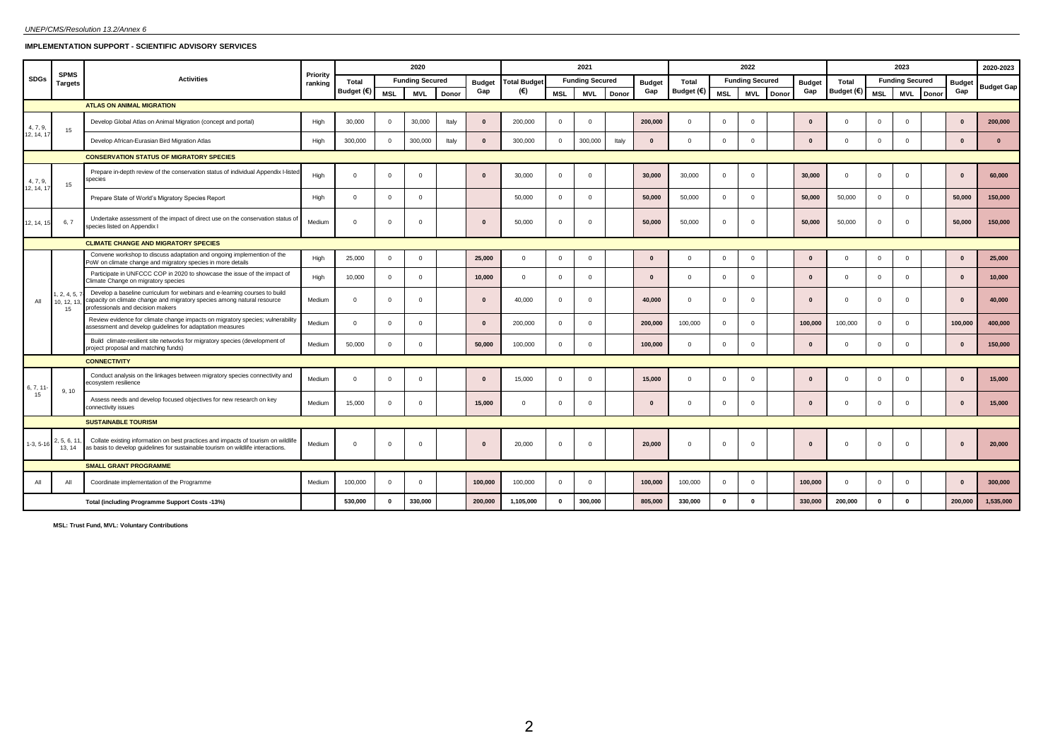# **IMPLEMENTATION SUPPORT - SCIENTIFIC ADVISORY SERVICES**

|             | <b>SPMS</b>                    |                                                                                                                                                                                            | Priority |            |              | 2020                   |       |               |                     |                | 2021                   |       |               |              |                | 2022                   |       |               |           |                | 2023                   |               | 2020-2023         |
|-------------|--------------------------------|--------------------------------------------------------------------------------------------------------------------------------------------------------------------------------------------|----------|------------|--------------|------------------------|-------|---------------|---------------------|----------------|------------------------|-------|---------------|--------------|----------------|------------------------|-------|---------------|-----------|----------------|------------------------|---------------|-------------------|
| <b>SDGs</b> | Targets                        | <b>Activities</b>                                                                                                                                                                          | ranking  | Total      |              | <b>Funding Secured</b> |       | <b>Budget</b> | <b>Total Budget</b> |                | <b>Funding Secured</b> |       | <b>Budget</b> | <b>Total</b> |                | <b>Funding Secured</b> |       | <b>Budget</b> | Total     |                | <b>Funding Secured</b> | <b>Budget</b> | <b>Budget Gap</b> |
|             |                                |                                                                                                                                                                                            |          | Budget (€) | <b>MSL</b>   | <b>MVL</b>             | Donor | Gap           | (€)                 | <b>MSL</b>     | <b>MVL</b>             | Donor | Gap           | Budget (€)   | MSL            | <b>MVL</b>             | Donor | Gap           | Budget (€ | <b>MSL</b>     | MVL Donor              | Gap           |                   |
|             |                                | <b>ATLAS ON ANIMAL MIGRATION</b>                                                                                                                                                           |          |            |              |                        |       |               |                     |                |                        |       |               |              |                |                        |       |               |           |                |                        |               |                   |
| 4, 7, 9,    | 15                             | Develop Global Atlas on Animal Migration (concept and portal)                                                                                                                              | High     | 30,000     | $^{\circ}$   | 30,000                 | Italy | $\Omega$      | 200,000             | $\Omega$       | $\Omega$               |       | 200,000       | $\mathbf{0}$ | $\Omega$       | $\Omega$               |       | $\Omega$      |           | $\Omega$       | $\overline{0}$         | $\mathbf{0}$  | 200,000           |
| 12, 14, 17  |                                | Develop African-Eurasian Bird Migration Atlas                                                                                                                                              | High     | 300,000    | $^{\circ}$   | 300,000                | Italy | $\mathbf{0}$  | 300,000             | $\overline{0}$ | 300,000                | Italy | $\mathbf{0}$  | $^{\circ}$   | $\overline{0}$ | $\mathbf{0}$           |       | $\mathbf{0}$  |           | $\overline{0}$ | $\overline{0}$         | $\mathbf{0}$  | $\mathbf{0}$      |
|             |                                | <b>CONSERVATION STATUS OF MIGRATORY SPECIES</b>                                                                                                                                            |          |            |              |                        |       |               |                     |                |                        |       |               |              |                |                        |       |               |           |                |                        |               |                   |
| 4, 7, 9,    | 15                             | Prepare in-depth review of the conservation status of individual Appendix I-listed<br>species                                                                                              | High     | $^{\circ}$ | $\circ$      | $\Omega$               |       | $\mathbf{0}$  | 30,000              | $\overline{0}$ | $\mathbf{0}$           |       | 30,000        | 30,000       | $\mathbf 0$    | $^{\circ}$             |       | 30,000        | $\Omega$  | $\overline{0}$ | $\overline{0}$         | $\mathbf{0}$  | 60,000            |
| 12, 14, 17  |                                | Prepare State of World's Migratory Species Report                                                                                                                                          | High     | $^{\circ}$ | $^{\circ}$   | $\Omega$               |       |               | 50,000              | $\overline{0}$ | $\mathbf{0}$           |       | 50,000        | 50,000       | $\mathbf 0$    | $\mathbf{0}$           |       | 50,000        | 50,000    | $\mathbf 0$    | $\overline{0}$         | 50,000        | 150,000           |
| 12, 14, 15  | 6, 7                           | Undertake assessment of the impact of direct use on the conservation status of<br>species listed on Appendix I                                                                             | Medium   | $\Omega$   | $^{\circ}$   | $\Omega$               |       | $\mathbf{0}$  | 50,000              | $\mathbf{0}$   | $\mathbf 0$            |       | 50,000        | 50,000       | $\mathbf 0$    | $\mathbf{0}$           |       | 50,000        | 50,000    | $\mathbf 0$    | $\overline{0}$         | 50,000        | 150,000           |
|             |                                | <b>CLIMATE CHANGE AND MIGRATORY SPECIES</b>                                                                                                                                                |          |            |              |                        |       |               |                     |                |                        |       |               |              |                |                        |       |               |           |                |                        |               |                   |
|             |                                | Convene workshop to discuss adaptation and ongoing implemention of the<br>PoW on climate change and migratory species in more details                                                      | High     | 25,000     | $\mathbf{O}$ | $\Omega$               |       | 25,000        | $\circ$             | $^{\circ}$     | $\circ$                |       | $\mathbf{0}$  | $\mathbf{0}$ | $\overline{0}$ | $^{\circ}$             |       | $\mathbf{0}$  | $\Omega$  | $\overline{0}$ | $\overline{0}$         | $\mathbf{0}$  | 25,000            |
|             |                                | Participate in UNFCCC COP in 2020 to showcase the issue of the impact of<br>Climate Change on migratory species                                                                            | High     | 10,000     | $\mathbf 0$  | $\Omega$               |       | 10,000        | $\mathbf 0$         | $\overline{0}$ | $\mathbf{0}$           |       | $\mathbf{0}$  | $\mathbf{0}$ | $\overline{0}$ | $^{\circ}$             |       | $\Omega$      | $\Omega$  | $\overline{0}$ | $\overline{0}$         | $\mathbf{0}$  | 10,000            |
| All         | , 2, 4, 5,<br>10, 12, 13<br>15 | Develop a baseline curriculum for webinars and e-learning courses to build<br>capacity on climate change and migratory species among natural resource<br>professionals and decision makers | Medium   | $\Omega$   | $\Omega$     | $\Omega$               |       | $\Omega$      | 40,000              | $\overline{0}$ | $\mathbf{0}$           |       | 40,000        | $\mathbf{0}$ | $\overline{0}$ | $^{\circ}$             |       | $\Omega$      | $\Omega$  | $\mathbf{0}$   | $\overline{0}$         | $\mathbf{0}$  | 40,000            |
|             |                                | Review evidence for climate change impacts on migratory species; vulnerability<br>assessment and develop guidelines for adaptation measures                                                | Medium   | $\Omega$   | $\mathbf 0$  | $\Omega$               |       | $\mathbf{0}$  | 200,000             | $\overline{0}$ | $^{\circ}$             |       | 200,000       | 100,000      | $\overline{0}$ | $^{\circ}$             |       | 100,000       | 100,000   | $\overline{0}$ | $\overline{0}$         | 100,000       | 400,000           |
|             |                                | Build climate-resilient site networks for migratory species (development of<br>project proposal and matching funds)                                                                        | Medium   | 50,000     | $\mathbf 0$  | $\Omega$               |       | 50,000        | 100,000             | $\mathbf{0}$   | $^{\circ}$             |       | 100,000       | $\mathbf{0}$ | $\overline{0}$ | $^{\circ}$             |       | $\mathbf{0}$  |           | $\overline{0}$ | $\overline{0}$         | $\mathbf{0}$  | 150,000           |
|             |                                | <b>CONNECTIVITY</b>                                                                                                                                                                        |          |            |              |                        |       |               |                     |                |                        |       |               |              |                |                        |       |               |           |                |                        |               |                   |
| 6, 7, 11    |                                | Conduct analysis on the linkages between migratory species connectivity and<br>ecosystem resilience                                                                                        | Medium   | $\circ$    | $\mathbf 0$  | $\Omega$               |       | $\mathbf{0}$  | 15,000              | $\mathbf{0}$   | $\mathbf 0$            |       | 15,000        | $\mathbf{0}$ | $\overline{0}$ | $^{\circ}$             |       | $\Omega$      | $\Omega$  | $\overline{0}$ | $\overline{0}$         | $\mathbf{0}$  | 15,000            |
| 15          | 9, 10                          | Assess needs and develop focused objectives for new research on key<br>connectivity issues                                                                                                 | Medium   | 15,000     | $\mathbf{0}$ | $\Omega$               |       | 15,000        | $\mathbf 0$         | $\overline{0}$ | $^{\circ}$             |       | $\mathbf{0}$  | $\mathbf{0}$ | $\mathbf 0$    | $\Omega$               |       | $\Omega$      | $\Omega$  | $\overline{0}$ | $\overline{0}$         | $\bf{0}$      | 15,000            |
|             |                                | <b>SUSTAINABLE TOURISM</b>                                                                                                                                                                 |          |            |              |                        |       |               |                     |                |                        |       |               |              |                |                        |       |               |           |                |                        |               |                   |
| $1-3, 5-16$ | 2, 5, 6, 11<br>13, 14          | Collate existing information on best practices and impacts of tourism on wildlife<br>as basis to develop guidelines for sustainable tourism on wildlife interactions.                      | Medium   | $\Omega$   | $\Omega$     | $\Omega$               |       | $\Omega$      | 20,000              | $\Omega$       | $\Omega$               |       | 20,000        | $^{\circ}$   | $\overline{0}$ | $\Omega$               |       | $\mathbf{0}$  |           | $\overline{0}$ | $\Omega$               | $\mathbf{0}$  | 20,000            |
|             |                                | <b>SMALL GRANT PROGRAMME</b>                                                                                                                                                               |          |            |              |                        |       |               |                     |                |                        |       |               |              |                |                        |       |               |           |                |                        |               |                   |
| All         | All                            | Coordinate implementation of the Programme                                                                                                                                                 | Medium   | 100,000    | $\mathbf{O}$ | $\Omega$               |       | 100,000       | 100,000             | $\mathbf{0}$   | $\mathbf{0}$           |       | 100,000       | 100,000      | $\overline{0}$ | $\mathbf{0}$           |       | 100,000       | $\Omega$  | $\overline{0}$ | $\overline{0}$         | $\bf{0}$      | 300,000           |
|             |                                | Total (including Programme Support Costs -13%)                                                                                                                                             |          | 530,000    | 0            | 330,000                |       | 200,000       | 1,105,000           | $\mathbf 0$    | 300,000                |       | 805,000       | 330,000      | $\mathbf{0}$   | $\mathbf{0}$           |       | 330,000       | 200,000   | $\mathbf 0$    | $\mathbf 0$            | 200,000       | 1,535,000         |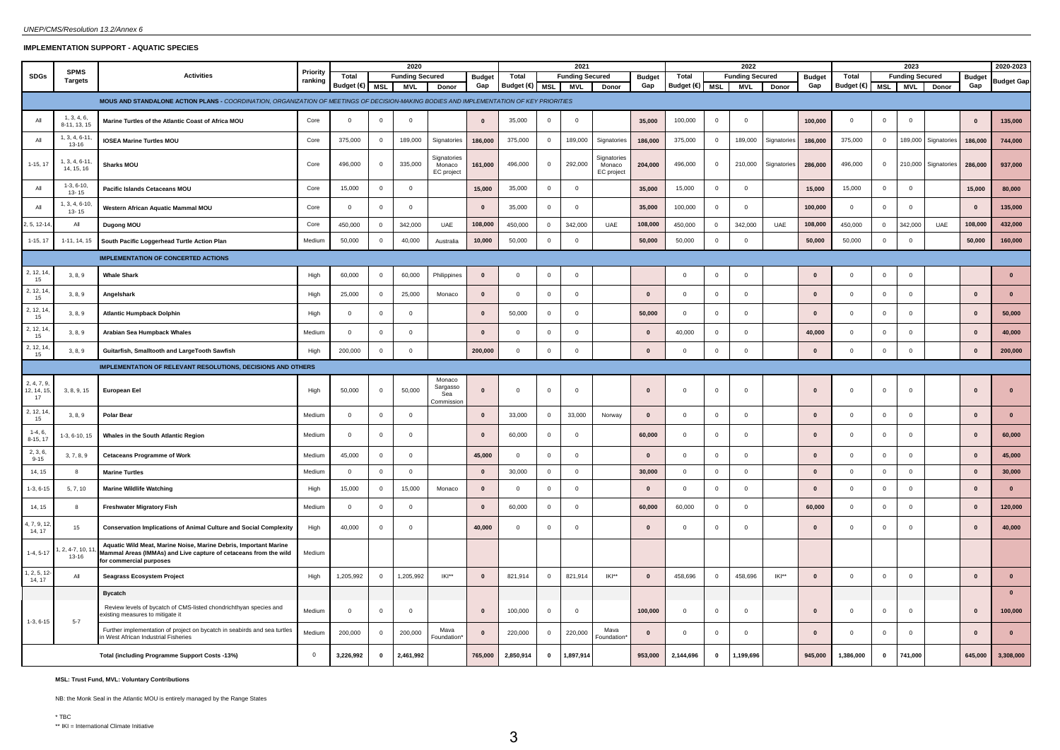## **IMPLEMENTATION SUPPORT - AQUATIC SPECIES**

|                                |                               |                                                                                                                                                                 |                     |                         | 2020           |                        |                                     |               |                         |                | 2021                   |                                    |               |                |                         | 2022                   |             |               |                         |                | 2023                   |             |               | 2020-2023          |
|--------------------------------|-------------------------------|-----------------------------------------------------------------------------------------------------------------------------------------------------------------|---------------------|-------------------------|----------------|------------------------|-------------------------------------|---------------|-------------------------|----------------|------------------------|------------------------------------|---------------|----------------|-------------------------|------------------------|-------------|---------------|-------------------------|----------------|------------------------|-------------|---------------|--------------------|
| <b>SDGs</b>                    | <b>SPMS</b><br><b>Targets</b> | <b>Activities</b>                                                                                                                                               | Priority<br>ranking | Total                   |                | <b>Funding Secured</b> |                                     | <b>Budget</b> | Total                   |                | <b>Funding Secured</b> |                                    | <b>Budget</b> | Total          |                         | <b>Funding Secured</b> |             | <b>Budget</b> | Total                   |                | <b>Funding Secured</b> |             | <b>Budget</b> | Budget Gap         |
|                                |                               |                                                                                                                                                                 |                     | Budget $(\epsilon)$ MSL |                | <b>MVL</b>             | Donor                               | Gap           | Budget $(\epsilon)$ MSL |                | <b>MVL</b>             | Donor                              | Gap           | Budget (€)     | <b>MSL</b>              | <b>MVL</b>             | Donor       | Gap           | Budget (€)              | MSL            | <b>MVL</b>             | Donor       | Gap           |                    |
|                                |                               | MOUS AND STANDALONE ACTION PLANS - COORDINATION, ORGANIZATION OF MEETINGS OF DECISION-MAKING BODIES AND IMPLEMENTATION OF KEY PRIORITIES                        |                     |                         |                |                        |                                     |               |                         |                |                        |                                    |               |                |                         |                        |             |               |                         |                |                        |             |               |                    |
| All                            | 1, 3, 4, 6,<br>8-11, 13, 15   | Marine Turtles of the Atlantic Coast of Africa MOU                                                                                                              | Core                | $\Omega$                | $\Omega$       | $\Omega$               |                                     | $\mathbf{0}$  | 35,000                  | $\mathbf 0$    | $\circ$                |                                    | 35,000        | 100,000        | $\Omega$                | $\Omega$               |             | 100,000       | $\overline{0}$          | $\Omega$       | $\Omega$               |             | $\mathbf{0}$  | 135,000            |
| All                            | 1, 3, 4, 6-11<br>13-16        | <b>IOSEA Marine Turtles MOU</b>                                                                                                                                 | Core                | 375,000                 | $\overline{0}$ | 189,000                | Signatories                         | 186,000       | 375,000                 | $\overline{0}$ | 189,000                | Signatories                        | 186,000       | 375,000        | $\overline{\mathbf{0}}$ | 189,000                | Signatories | 186,000       | 375,000                 | $\mathbf{0}$   | 189,000                | Signatories | 186,000       | 744,000            |
| $1-15, 17$                     | 1, 3, 4, 6-11<br>14, 15, 16   | <b>Sharks MOU</b>                                                                                                                                               | Core                | 496,000                 | $\overline{0}$ | 335,000                | Signatorie:<br>Monaco<br>EC project | 161,000       | 496,000                 | $\mathbf 0$    | 292,000                | Signatorie<br>Monaco<br>EC project | 204.000       | 496,000        | $\mathbf 0$             | 210,000                | Signatories | 286,000       | 496,000                 | $\overline{0}$ | 210,000                | Signatories | 286,000       | 937,000            |
| All                            | $1-3, 6-10,$<br>$13 - 15$     | Pacific Islands Cetaceans MOU                                                                                                                                   | Core                | 15,000                  | $\mathbf 0$    | $\mathbf 0$            |                                     | 15,000        | 35,000                  | $\mathsf 0$    | $\mathbf 0$            |                                    | 35,000        | 15,000         | $\mathbf 0$             | $\mathbf{0}$           |             | 15,000        | 15,000                  | $\mathbf 0$    | $\mathbf 0$            |             | 15,000        | 80,000             |
| All                            | 1, 3, 4, 6-10<br>$13 - 15$    | Western African Aquatic Mammal MOU                                                                                                                              | Core                | $\mathbf 0$             | $\circ$        | $\mathbf 0$            |                                     | $\mathbf{0}$  | 35,000                  | $\circ$        | $\mathbf{0}$           |                                    | 35,000        | 100,000        | $\overline{0}$          | $\Omega$               |             | 100,000       | $\overline{0}$          | $\mathbf 0$    | $\mathbf{0}$           |             | $\mathbf{0}$  | 135,000            |
| , 5, 12-14                     | All                           | Dugong MOU                                                                                                                                                      | Core                | 450,000                 | $\overline{0}$ | 342,000                | UAE                                 | 108,000       | 450,000                 | $\mathbf{0}$   | 342,000                | UAE                                | 108,000       | 450,000        | $\overline{0}$          | 342,000                | UAE         | 108,000       | 450,000                 | $\overline{0}$ | 342,000                | UAE         | 108,000       | 432,000            |
| $1-15, 17$                     | 1-11, 14, 15                  | South Pacific Loggerhead Turtle Action Plan                                                                                                                     | Mediun              | 50,000                  | $\overline{0}$ | 40,000                 | Australia                           | 10,000        | 50,000                  | $\mathsf 0$    | $\mathbf 0$            |                                    | 50,000        | 50,000         | $\mathbf 0$             | $\mathbf{0}$           |             | 50,000        | 50,000                  | $\overline{0}$ | $\mathbf{0}$           |             | 50,000        | 160,000            |
|                                |                               | <b>IMPLEMENTATION OF CONCERTED ACTIONS</b>                                                                                                                      |                     |                         |                |                        |                                     |               |                         |                |                        |                                    |               |                |                         |                        |             |               |                         |                |                        |             |               |                    |
| 2, 12, 14<br>15                | 3, 8, 9                       | <b>Whale Shark</b>                                                                                                                                              | High                | 60,000                  | $\overline{0}$ | 60,000                 | Philippines                         | $\mathbf{0}$  | $\mathbf 0$             | $\mathbf 0$    | $\mathbf 0$            |                                    |               | $\overline{0}$ | $\mathbf 0$             | $\mathbf{0}$           |             | $\mathbf{0}$  | $\overline{\mathbf{0}}$ | $\overline{0}$ | $\mathbf{0}$           |             |               | $\pmb{\mathsf{o}}$ |
| 2, 12, 14<br>15                | 3, 8, 9                       | Angelshark                                                                                                                                                      | High                | 25,000                  | $\mathbf 0$    | 25,000                 | Monaco                              | $\mathbf{0}$  | 0                       | $\mathsf 0$    | $\Omega$               |                                    | $\mathbf{0}$  | $\Omega$       | $\mathbf 0$             | $\Omega$               |             | $\mathbf{0}$  | $\mathbf 0$             | $\Omega$       | $\Omega$               |             | $\mathbf{0}$  | $\bf{0}$           |
| 2, 12, 14<br>15                | 3, 8, 9                       | <b>Atlantic Humpback Dolphin</b>                                                                                                                                | High                | $\Omega$                | $\mathbf 0$    | $\Omega$               |                                     | $\Omega$      | 50,000                  | $\Omega$       | $\circ$                |                                    | 50.000        | $\Omega$       | $\Omega$                | $\Omega$               |             | $\mathbf{0}$  | $\Omega$                | $\Omega$       | $\Omega$               |             | $\Omega$      | 50,000             |
| 2, 12, 14<br>15                | 3, 8, 9                       | Arabian Sea Humpback Whales                                                                                                                                     | Mediun              | $\mathbf 0$             | $\circ$        | $\mathbf 0$            |                                     | $\mathbf{0}$  | $\mathbf 0$             | $\mathbf 0$    | $\mathbf{0}$           |                                    | $\mathbf{0}$  | 40,000         | $\mathbf 0$             | $\mathbf 0$            |             | 40,000        | $\mathbf 0$             | $\mathbf 0$    | $\mathbf 0$            |             | $\mathbf{0}$  | 40,000             |
| 2, 12, 14<br>15                | 3, 8, 9                       | Guitarfish, Smalltooth and LargeTooth Sawfish                                                                                                                   | High                | 200,000                 | $\mathbf 0$    | $\mathsf 0$            |                                     | 200,000       | $\mathbf 0$             | $\mathsf 0$    | $\mathbf 0$            |                                    | $\mathbf{0}$  | $\overline{0}$ | 0                       | $\overline{0}$         |             | $\mathbf{0}$  | $\mathbf 0$             | $\mathbf 0$    | $\mathbf 0$            |             | $\mathbf{0}$  | 200,000            |
|                                |                               | <b>IMPLEMENTATION OF RELEVANT RESOLUTIONS, DECISIONS AND OTHERS</b>                                                                                             |                     |                         |                |                        |                                     |               |                         |                |                        |                                    |               |                |                         |                        |             |               |                         |                |                        |             |               |                    |
|                                |                               |                                                                                                                                                                 |                     |                         |                |                        | Monaco                              |               |                         |                |                        |                                    |               |                |                         |                        |             |               |                         |                |                        |             |               |                    |
| 2, 4, 7, 9<br>12, 14, 15<br>17 | 3, 8, 9, 15                   | European Eel                                                                                                                                                    | High                | 50,000                  | $\overline{0}$ | 50,000                 | Sargasso<br>Sea<br>Commissio        | $\mathbf{0}$  | $\mathbf 0$             | $\mathbf 0$    | $\mathbf 0$            |                                    | $\mathbf{0}$  | $\overline{0}$ | 0                       | $\mathbf{0}$           |             | $\mathbf{0}$  | $\mathbf 0$             | $^{\circ}$     | $\mathbf 0$            |             | $\mathbf{0}$  | $\mathbf{0}$       |
| 2, 12, 14<br>15                | 3, 8, 9                       | Polar Bear                                                                                                                                                      | Mediun              | $\Omega$                | $\circ$        | $\mathbf 0$            |                                     | $\mathbf{0}$  | 33,000                  | $\mathsf 0$    | 33,000                 | Norway                             | $\mathbf{0}$  | $\Omega$       | $\Omega$                | $\Omega$               |             | $\mathbf{0}$  | $\Omega$                | $\Omega$       | $^{\circ}$             |             | $\mathbf{0}$  | $\mathbf{0}$       |
| $1-4, 6$<br>8-15, 17           | $1-3, 6-10, 15$               | Whales in the South Atlantic Region                                                                                                                             | Mediun              | $\Omega$                | $\circ$        | $\Omega$               |                                     | $\mathbf{0}$  | 60,000                  | $\circ$        | $\circ$                |                                    | 60,000        | $\Omega$       | $\Omega$                | $\Omega$               |             | $\Omega$      | $\Omega$                | $\Omega$       | $\Omega$               |             | $\mathbf{0}$  | 60,000             |
| 2, 3, 6<br>$9 - 15$            | 3, 7, 8, 9                    | <b>Cetaceans Programme of Work</b>                                                                                                                              | Medium              | 45,000                  | $\circ$        | $\Omega$               |                                     | 45,000        | $\Omega$                | $\circ$        | $\Omega$               |                                    | $\mathbf{0}$  | $\Omega$       | $\Omega$                | $\Omega$               |             | $\mathbf{0}$  | $\Omega$                | $\circ$        | $\Omega$               |             | $\mathbf{0}$  | 45,000             |
| 14, 15                         | 8                             | <b>Marine Turtles</b>                                                                                                                                           | Medium              | $\Omega$                | $\overline{0}$ | $\overline{0}$         |                                     | $\mathbf{0}$  | 30,000                  | $\overline{0}$ | $\Omega$               |                                    | 30,000        | $\Omega$       | $\overline{0}$          | $\Omega$               |             | $\mathbf{0}$  | $\Omega$                | $\overline{0}$ | $\mathbf{0}$           |             | $\bf{0}$      | 30,000             |
| $1-3, 6-15$                    | 5, 7, 10                      | <b>Marine Wildlife Watching</b>                                                                                                                                 | High                | 15,000                  | $\mathbf 0$    | 15,000                 | Monaco                              | $\mathbf{0}$  | $\mathbf 0$             | $\circ$        | $\Omega$               |                                    | $\mathbf{0}$  | $\Omega$       | $\mathbf 0$             | $\Omega$               |             | $\mathbf{0}$  | $\mathbf 0$             | $\Omega$       | $\Omega$               |             | $\mathbf{0}$  | $\mathbf{0}$       |
| 14, 15                         | 8                             | Freshwater Migratory Fish                                                                                                                                       | Medium              | $\overline{0}$          | $\overline{0}$ | $\mathbf{0}$           |                                     | $\mathbf{0}$  | 60,000                  | $\overline{0}$ | $\mathbf{0}$           |                                    | 60,000        | 60,000         | $\overline{0}$          | $\mathbf{0}$           |             | 60,000        | $\mathbf 0$             | $\overline{0}$ | $\mathbf{0}$           |             | $\mathbf{0}$  | 120,000            |
| 1.7.9.1<br>14, 17              | 15                            | <b>Conservation Implications of Animal Culture and Social Complexity</b>                                                                                        | High                | 40,000                  | $\mathbf 0$    | $\mathbf 0$            |                                     | 40,000        | $\mathbf 0$             | $\mathbf 0$    | $\overline{0}$         |                                    |               | $^{\circ}$     | $\mathbf 0$             |                        |             | $\mathbf{0}$  | $\mathbf 0$             |                | $\mathbf 0$            |             |               | 40,000             |
| $1-4, 5-17$                    | 2, 4-7, 10,<br>13-16          | Aquatic Wild Meat, Marine Noise, Marine Debris, Important Marine<br>Mammal Areas (IMMAs) and Live capture of cetaceans from the wild<br>for commercial purposes | Medium              |                         |                |                        |                                     |               |                         |                |                        |                                    |               |                |                         |                        |             |               |                         |                |                        |             |               |                    |
| 1, 2, 5, 12<br>14, 17          | All                           | Seagrass Ecosystem Project                                                                                                                                      | High                | 1,205,992               | $\mathbf 0$    | 1,205,992              | IKI**                               | $\bf{0}$      | 821,914                 | $\overline{0}$ | 821,914                | IKI**                              | $\mathbf{0}$  | 458,696        | $\overline{\mathbf{0}}$ | 458,696                | IKI**       | $\mathbf{0}$  | $\mathbf 0$             | $\mathbf 0$    | $\mathbf 0$            |             | $\mathbf{0}$  | $\mathbf{0}$       |
|                                |                               | <b>Bycatch</b>                                                                                                                                                  |                     |                         |                |                        |                                     |               |                         |                |                        |                                    |               |                |                         |                        |             |               |                         |                |                        |             |               | $\mathbf{0}$       |
|                                |                               | Review levels of bycatch of CMS-listed chondrichthyan species and<br>existing measures to mitigate it                                                           | Mediur              | $\mathbf 0$             | $\mathbf{0}$   | $\mathbf 0$            |                                     | $\mathbf{0}$  | 100,000                 | $\mathbf 0$    | $\mathbf{0}$           |                                    | 100,000       | $\overline{0}$ | $\mathbf 0$             | $\Omega$               |             | $\mathbf{0}$  | $\mathbf 0$             | $\overline{0}$ | $\mathbf 0$            |             | $\mathbf{0}$  | 100,000            |
| $1-3, 6-15$                    | $5 - 7$                       | Further implementation of project on bycatch in seabirds and sea turtles<br>West African Industrial Fisheries                                                   | Medium              | 200,000                 | $\circ$        | 200,000                | Maya<br>Foundation                  | $\mathbf{0}$  | 220,000                 | $\circ$        | 220,000                | Mava<br>Foundation                 | $\mathbf{0}$  | $\Omega$       | $\Omega$                | $\Omega$               |             | $\Omega$      | $\Omega$                | $\Omega$       | $\Omega$               |             | $\mathbf{0}$  | $\mathbf{0}$       |
|                                |                               | Total (including Programme Support Costs -13%)                                                                                                                  | $^{\circ}$          | 3,226,992               | $\mathbf 0$    | 2,461,992              |                                     | 765,000       | 2,850,914               | $\mathbf 0$    | 1,897,914              |                                    | 953,000       | 2,144,696      | $\mathbf 0$             | 1,199,696              |             | 945,000       | 1,386,000               | $\mathbf 0$    | 741,000                |             | 645,000       | 3,308,000          |

**MSL: Trust Fund, MVL: Voluntary Contributions**

NB: the Monk Seal in the Atlantic MOU is entirely managed by the Range States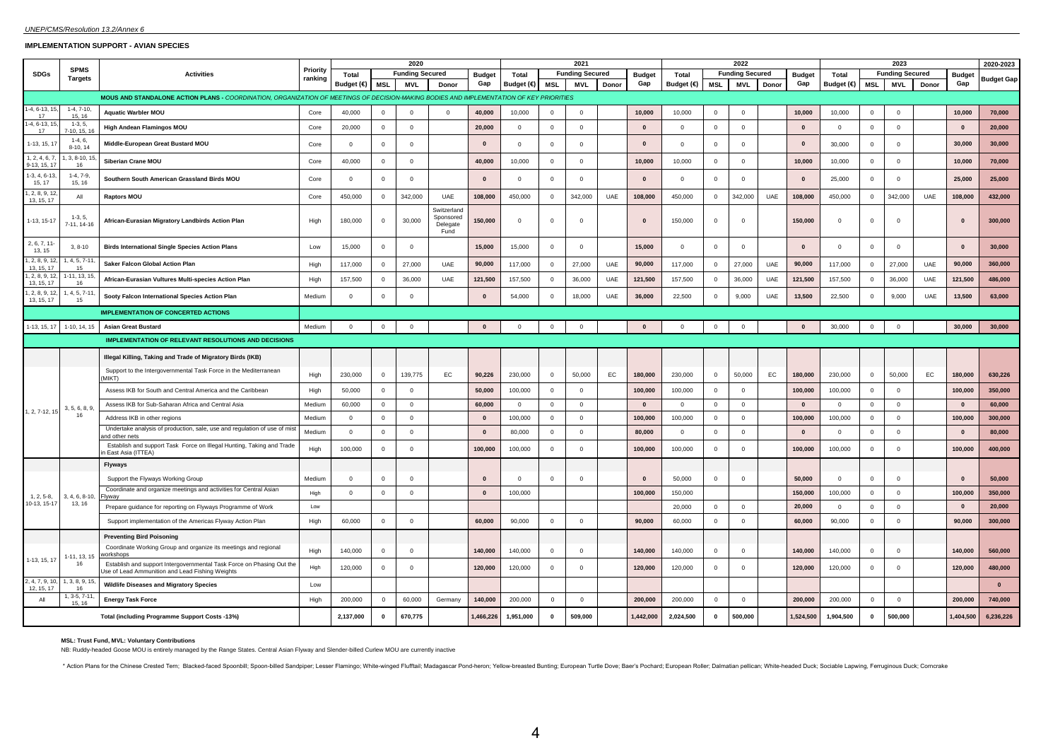#### **IMPLEMENTATION SUPPORT - AVIAN SPECIES**

|                             |                          |                                                                                                                                          |          |                     | 2020           |                         |                                              |                      |              |                | 2021                    |       |                      |             |                | 2022                   |       |                      |             |                | 2023                   |       |                      | 2020-2023         |
|-----------------------------|--------------------------|------------------------------------------------------------------------------------------------------------------------------------------|----------|---------------------|----------------|-------------------------|----------------------------------------------|----------------------|--------------|----------------|-------------------------|-------|----------------------|-------------|----------------|------------------------|-------|----------------------|-------------|----------------|------------------------|-------|----------------------|-------------------|
| <b>SDGs</b>                 | <b>SPMS</b>              | <b>Activities</b>                                                                                                                        | Priority | Total               |                | <b>Funding Secured</b>  |                                              |                      | Total        |                | <b>Funding Secured</b>  |       |                      | Total       |                | <b>Funding Secured</b> |       |                      | Total       |                | <b>Funding Secured</b> |       |                      |                   |
|                             | <b>Targets</b>           |                                                                                                                                          | ranking  | Budget $(\epsilon)$ | MSL            | MVL                     | Donor                                        | <b>Budget</b><br>Gap | Budget (€)   | <b>MSL</b>     | MVL                     | Donor | <b>Budget</b><br>Gap | Budget (€)  | <b>MSL</b>     | MVL                    | Donor | <b>Budget</b><br>Gap | Budget (€)  | <b>MSL</b>     | MVL                    | Donor | <b>Budget</b><br>Gap | <b>Budget Gap</b> |
|                             |                          | MOUS AND STANDALONE ACTION PLANS - COORDINATION, ORGANIZATION OF MEETINGS OF DECISION-MAKING BODIES AND IMPLEMENTATION OF KEY PRIORITIES |          |                     |                |                         |                                              |                      |              |                |                         |       |                      |             |                |                        |       |                      |             |                |                        |       |                      |                   |
| $1-4, 6-13, 1$              | $1-4, 7-10,$             |                                                                                                                                          |          |                     |                |                         |                                              |                      |              |                |                         |       |                      |             |                |                        |       |                      |             |                |                        |       |                      |                   |
| 17<br>4, 6-13,              | 15, 16<br>$1-3, 5,$      | <b>Aquatic Warbler MOU</b>                                                                                                               | Core     | 40,000              | $\mathbf{0}$   | $\overline{0}$          | $\Omega$                                     | 40,000               | 10,000       | $^{\circ}$     | $\overline{0}$          |       | 10,000               | 10,000      | $\mathbf{0}$   | $\mathbf 0$            |       | 10,000               | 10,000      | $\mathbf{0}$   | $\mathbf 0$            |       | 10,000               | 70,000            |
| 17                          | $7-10, 15, 10$           | <b>High Andean Flamingos MOU</b>                                                                                                         | Core     | 20,000              | $\overline{0}$ | $\overline{0}$          |                                              | 20,000               | $\Omega$     | $\circ$        | $\overline{0}$          |       | $\mathbf{0}$         | $\Omega$    | $\mathbf{0}$   | $\mathbf{0}$           |       | $\mathbf{0}$         | $\Omega$    | $\mathbf 0$    | $\mathbf 0$            |       | $\Omega$             | 20,000            |
| $1-13, 15, 1$               | $1-4, 6,$<br>$8-10, 14$  | Middle-European Great Bustard MOU                                                                                                        | Core     | $\mathbf 0$         | $\overline{0}$ | $\overline{0}$          |                                              | $\Omega$             | $\mathbf{0}$ | $\mathbf 0$    | $\mathbf 0$             |       | $\mathbf{0}$         | $\mathbf 0$ | $\mathbf 0$    | $\mathbf 0$            |       | $\mathbf{0}$         | 30,000      | $\overline{0}$ | $\mathbf{0}$           |       | 30,000               | 30,000            |
| 1, 2, 4, 6,<br>9-13, 15, 17 | $3, 8 - 10, 1$<br>16     | Siberian Crane MOU                                                                                                                       | Core     | 40,000              | $\overline{0}$ | $\overline{0}$          |                                              | 40,000               | 10,000       | $\mathbf 0$    | $\overline{0}$          |       | 10,000               | 10,000      | $\mathbf 0$    | $\mathbf 0$            |       | 10,000               | 10,000      | $\mathbf 0$    | $\Omega$               |       | 10,000               | 70,000            |
| $1-3, 4, 6-13$<br>15, 17    | $1-4, 7-9,$<br>15, 16    | Southern South American Grassland Birds MOU                                                                                              | Core     | $\Omega$            | $\mathbf{0}$   | $\overline{0}$          |                                              | $\mathbf{0}$         | $\mathbf{0}$ | $^{\circ}$     | $\overline{0}$          |       | $\mathbf{0}$         | $\mathbf 0$ | $\mathbf{0}$   | $\overline{0}$         |       | $\mathbf{0}$         | 25,000      | $\mathbf{0}$   | $\mathbf 0$            |       | 25,000               | 25,000            |
| 1, 2, 8, 9, 1<br>13, 15, 17 | All                      | <b>Raptors MOU</b>                                                                                                                       | Core     | 450,000             | $\overline{0}$ | 342,000                 | UAE                                          | 108,000              | 450,000      | $\circ$        | 342,000                 | UAE   | 108,000              | 450,000     | $\mathbf{0}$   | 342,000                | UAE   | 108,000              | 450,000     | $\mathbf{0}$   | 342,000                | UAE   | 108,000              | 432,000           |
| 1-13, 15-17                 | $1-3, 5,$<br>7-11, 14-16 | African-Eurasian Migratory Landbirds Action Plan                                                                                         | High     | 180,000             | $\overline{0}$ | 30,000                  | Switzerland<br>Sponsored<br>Delegate<br>Fund | 150,000              | $\mathbf{0}$ | $\mathbf 0$    | $\overline{\mathbf{0}}$ |       | $\mathbf{0}$         | 150,000     | $\mathbf 0$    | $^{\circ}$             |       | 150,000              | $\mathbf 0$ | $\mathbf{0}$   | $\mathbf 0$            |       | $\mathbf{0}$         | 300,000           |
| 2, 6, 7, 11<br>13, 15       | $3, 8-10$                | <b>Birds International Single Species Action Plans</b>                                                                                   | Low      | 15,000              | $\overline{0}$ | $\overline{0}$          |                                              | 15,000               | 15,000       | $\mathbf 0$    | $^{\circ}$              |       | 15,000               | $\mathbf 0$ | $\mathbf 0$    | $\overline{0}$         |       | $\mathbf{0}$         | $\Omega$    | $^{\circ}$     | $\mathbf 0$            |       | $\mathbf{0}$         | 30,000            |
| 1, 2, 8, 9, 1<br>13, 15, 17 | , 4, 5, 7-11<br>15       | Saker Falcon Global Action Plan                                                                                                          | High     | 117,000             | $\overline{0}$ | 27,000                  | UAE                                          | 90,000               | 117,000      | $\mathbf 0$    | 27,000                  | UAE   | 90,000               | 117,000     | $\mathbf{0}$   | 27,000                 | UAE   | 90,000               | 117,000     | $\mathbf 0$    | 27,000                 | UAE   | 90,000               | 360,000           |
| 1, 2, 8, 9, 1<br>13, 15, 17 | $-11, 13, 15$<br>16      | African-Eurasian Vultures Multi-species Action Plan                                                                                      | High     | 157,500             | $\overline{0}$ | 36,000                  | UAE                                          | 121,500              | 157,500      | $\mathbf 0$    | 36,000                  | UAE   | 121,500              | 157,500     | $\mathbf{0}$   | 36,000                 | UAE   | 121,500              | 157,500     | $\mathbf 0$    | 36,000                 | UAE   | 121,500              | 486,000           |
| 1, 2, 8, 9, 1<br>13, 15, 17 | 4, 5, 7-11<br>15         | Sooty Falcon International Species Action Plan                                                                                           | Medium   | $\mathbf{0}$        | 0              | $\mathbf 0$             |                                              | $\mathbf{0}$         | 54,000       | $\mathbf 0$    | 18,000                  | UAE   | 36,000               | 22,500      | $\mathbf 0$    | 9,000                  | UAE   | 13,500               | 22,500      | $\mathbf 0$    | 9,000                  | UAE   | 13,500               | 63,000            |
|                             |                          | <b>IMPLEMENTATION OF CONCERTED ACTIONS</b>                                                                                               |          |                     |                |                         |                                              |                      |              |                |                         |       |                      |             |                |                        |       |                      |             |                |                        |       |                      |                   |
| 1-13, 15, 17                | 1-10, 14, 15             | <b>Asian Great Bustard</b>                                                                                                               | Medium   | $\overline{0}$      | $\overline{0}$ | $\overline{\mathbf{0}}$ |                                              | $\mathbf{0}$         | $\mathbf{0}$ | $\mathbf 0$    | $\overline{0}$          |       | $\bf{0}$             | $\mathbf 0$ | $\overline{0}$ | $\overline{0}$         |       | $\mathbf{0}$         | 30,000      | $\overline{0}$ | $\mathbf 0$            |       | 30,000               | 30,000            |
|                             |                          | <b>IMPLEMENTATION OF RELEVANT RESOLUTIONS AND DECISIONS</b>                                                                              |          |                     |                |                         |                                              |                      |              |                |                         |       |                      |             |                |                        |       |                      |             |                |                        |       |                      |                   |
|                             |                          | Illegal Killing, Taking and Trade of Migratory Birds (IKB)                                                                               |          |                     |                |                         |                                              |                      |              |                |                         |       |                      |             |                |                        |       |                      |             |                |                        |       |                      |                   |
|                             |                          | Support to the Intergovernmental Task Force in the Mediterranean<br>(MIKT)                                                               | High     | 230,000             | $\overline{0}$ | 139,775                 | EC                                           | 90,226               | 230,000      | $\overline{0}$ | 50,000                  | EC    | 180,000              | 230,000     | $\mathbf 0$    | 50,000                 | EC    | 180,000              | 230,000     | $\mathbf 0$    | 50,000                 | EC    | 180,000              | 630,226           |
|                             |                          | Assess IKB for South and Central America and the Caribbean                                                                               | High     | 50,000              | $\overline{0}$ | $\overline{0}$          |                                              | 50,000               | 100,000      | $\mathbf 0$    | $^{\circ}$              |       | 100,000              | 100,000     | $\mathbf 0$    | $\overline{0}$         |       | 100,000              | 100,000     | $\mathbf{0}$   | $\mathbf 0$            |       | 100,000              | 350,000           |
|                             | 3, 5, 6, 8, 9            | Assess IKB for Sub-Saharan Africa and Central Asia                                                                                       | Medium   | 60,000              | $\overline{0}$ | $\overline{0}$          |                                              | 60,000               | $\Omega$     | $\overline{0}$ | $\overline{0}$          |       | $\bf{0}$             | $\Omega$    | $\mathbf{0}$   | $\Omega$               |       | $\mathbf{0}$         | $\Omega$    | $\mathbf 0$    | $\mathbf 0$            |       | $\mathbf{0}$         | 60,000            |
| 1, 2, 7-12, 15              | 16                       | Address IKB in other regions                                                                                                             | Medium   | $\mathbf{0}$        | 0              | $\overline{0}$          |                                              | $\mathbf{0}$         | 100,000      | $\mathbf 0$    | $\overline{0}$          |       | 100,000              | 100,000     | $^{\circ}$     | $\mathbf 0$            |       | 100,000              | 100,000     | $\mathbf 0$    | $\mathbf{0}$           |       | 100,000              | 300,000           |
|                             |                          | Undertake analysis of production, sale, use and regulation of use of mis<br>nd other nets                                                | Medium   | $\Omega$            | $\Omega$       | $\Omega$                |                                              | $\mathbf{0}$         | 80,000       | $\Omega$       | $\overline{0}$          |       | 80,000               | $\Omega$    | $\Omega$       | $\mathbf{0}$           |       | $\mathbf{0}$         | $\circ$     | $\Omega$       | $\mathbf{0}$           |       | $\mathbf{0}$         | 80.000            |
|                             |                          | Establish and support Task Force on Illegal Hunting, Taking and Trade<br>East Asia (ITTEA)                                               | High     | 100,000             | $\overline{0}$ | $\Omega$                |                                              | 100,000              | 100,000      | $\mathbf 0$    | $\Omega$                |       | 100,000              | 100,000     | $\mathbf 0$    | $\Omega$               |       | 100,000              | 100,000     | $\mathbf{0}$   | $\Omega$               |       | 100,000              | 400,000           |
|                             |                          | Flyways                                                                                                                                  |          |                     |                |                         |                                              |                      |              |                |                         |       |                      |             |                |                        |       |                      |             |                |                        |       |                      |                   |
|                             |                          | Support the Flyways Working Group                                                                                                        | Medium   | $\mathbf{0}$        | $\overline{0}$ | $\overline{0}$          |                                              | $\Omega$             | $\mathbf{0}$ | $\mathbf 0$    | $\mathbf 0$             |       | $\mathbf{0}$         | 50,000      | $\mathbf 0$    | $\overline{0}$         |       | 50,000               | $\mathbf 0$ | $\mathbf{0}$   | $\mathbf{0}$           |       | $\Omega$             | 50,000            |
| $1, 2, 5-8,$                | 8, 4, 6, 8-10            | Coordinate and organize meetings and activities for Central Asian<br>-Ivwav                                                              | High     | $\mathbf{0}$        | $\overline{0}$ | $\mathbf 0$             |                                              | $\mathbf{0}$         | 100,000      |                |                         |       | 100,000              | 150,000     |                |                        |       | 150,000              | 100,000     | $\mathbf{0}$   | $\mathbf 0$            |       | 100,000              | 350,000           |
| 10-13, 15-17                | 13, 16                   | Prepare guidance for reporting on Flyways Programme of Work                                                                              | Low      |                     |                |                         |                                              |                      |              |                |                         |       |                      | 20,000      | $\Omega$       | $\Omega$               |       | 20,000               | $\Omega$    | $\Omega$       | $\mathbf{0}$           |       | $\mathbf{0}$         | 20.000            |
|                             |                          | Support implementation of the Americas Flyway Action Plan                                                                                | High     | 60,000              | $\mathbf{0}$   | $\Omega$                |                                              | 60,000               | 90,000       | $\mathbf 0$    | $\Omega$                |       | 90,000               | 60,000      | $\mathbf 0$    | $\mathbf{0}$           |       | 60,000               | 90,000      | $\mathbf 0$    | $\mathbf 0$            |       | 90,000               | 300,000           |
|                             |                          | <b>Preventing Bird Poisoning</b>                                                                                                         |          |                     |                |                         |                                              |                      |              |                |                         |       |                      |             |                |                        |       |                      |             |                |                        |       |                      |                   |
|                             | $-11, 13, 15$            | Coordinate Working Group and organize its meetings and regional<br>vorkshops                                                             | High     | 140,000             | $\overline{0}$ | $\overline{0}$          |                                              | 140,000              | 140,000      | $\overline{0}$ | $\mathbf 0$             |       | 140,000              | 140,000     | $\mathbf{0}$   | $\mathbf 0$            |       | 140,000              | 140,000     | $\mathbf{0}$   | $\mathbf{0}$           |       | 140,000              | 560,000           |
| 1-13, 15, 17                | 16                       | Establish and support Intergovernmental Task Force on Phasing Out the<br>Jse of Lead Ammunition and Lead Fishing Weights                 | High     | 120,000             | $\overline{0}$ | $\mathbf 0$             |                                              | 120,000              | 120,000      | $\mathbf 0$    | $\overline{0}$          |       | 120,000              | 120,000     | $\mathbf{0}$   | $\mathbf 0$            |       | 120,000              | 120,000     | $\mathbf 0$    | $\mathbf 0$            |       | 120,000              | 480,000           |
| 2, 4, 7, 9, 10<br>12.15.17  | , 3, 8, 9, 15<br>16      | <b>Wildlife Diseases and Migratory Species</b>                                                                                           | Low      |                     |                |                         |                                              |                      |              |                |                         |       |                      |             |                |                        |       |                      |             |                |                        |       |                      | $\mathbf{0}$      |
| All                         | 1, 3-5, 7-11<br>15.16    | <b>Energy Task Force</b>                                                                                                                 | High     | 200,000             | $\Omega$       | 60,000                  | Germany                                      | 140,000              | 200,000      | $\overline{0}$ | $\overline{0}$          |       | 200,000              | 200,000     | $\Omega$       | $\overline{0}$         |       | 200,000              | 200,000     | $\Omega$       | $\Omega$               |       | 200.000              | 740.000           |
|                             |                          | Total (including Programme Support Costs -13%)                                                                                           |          | 2,137,000           | $\mathbf{0}$   | 670,775                 |                                              | 1,466,226            | 1,951,000    | $\mathbf{0}$   | 509,000                 |       | 1,442,000            | 2,024,500   | $^{\circ}$     | 500,000                |       | 1,524,500            | 1,904,500   | $\mathbf{0}$   | 500,000                |       | 1,404,500            | 6,236,226         |

#### **MSL: Trust Fund, MVL: Voluntary Contributions**

NB: Ruddy-headed Goose MOU is entirely managed by the Range States. Central Asian Flyway and Slender-billed Curlew MOU are currently inactive

\* Action Plans for the Chinese Crested Tem; Blacked-faced Spoonbill; Spoon-billed Sandpiper; Lesser Flamingo; White-winged Flufftall; Madagascar Pond-heron; Yellow-breasted Bunting; European Turtle Dove; Baer's Pochard; Eu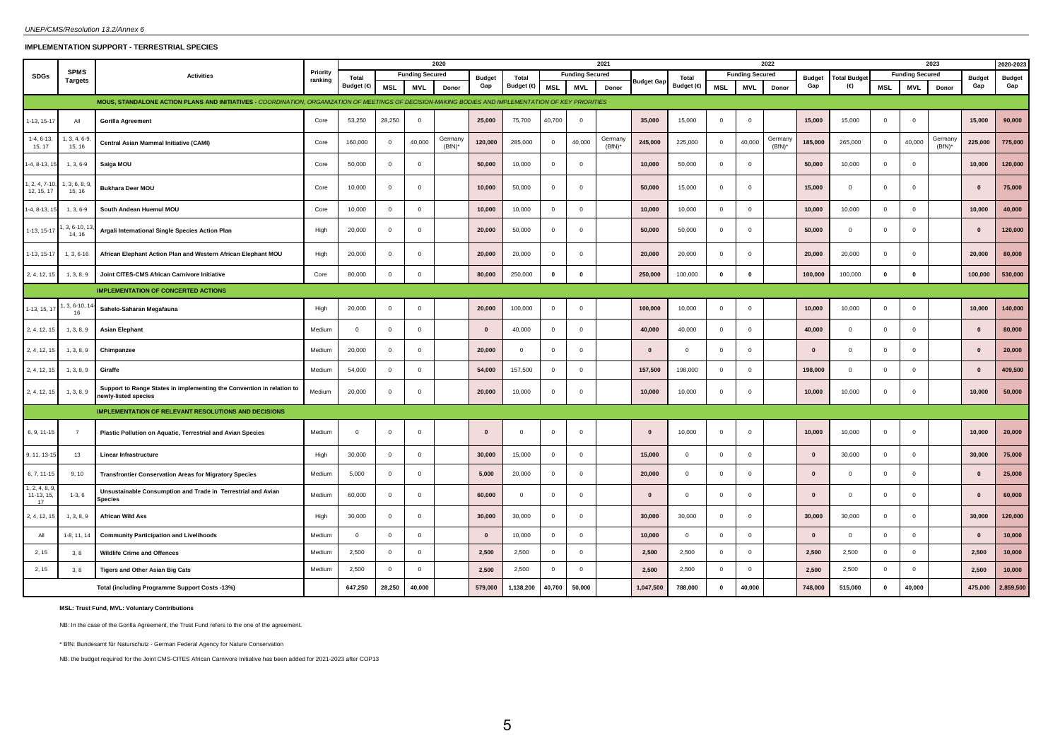# **IMPLEMENTATION SUPPORT - TERRESTRIAL SPECIES**

|                                  |                               |                                                                                                                                                       |                     |                | 2020<br><b>Funding Secured</b> |              |                      |               |              |              |                        | 2021                 |              |                |              |                        | 2022                 |               |                         |                | 2023                   |                      |               | 2020-2023     |
|----------------------------------|-------------------------------|-------------------------------------------------------------------------------------------------------------------------------------------------------|---------------------|----------------|--------------------------------|--------------|----------------------|---------------|--------------|--------------|------------------------|----------------------|--------------|----------------|--------------|------------------------|----------------------|---------------|-------------------------|----------------|------------------------|----------------------|---------------|---------------|
| <b>SDGs</b>                      | <b>SPMS</b><br><b>Targets</b> | <b>Activities</b>                                                                                                                                     | Priority<br>ranking | Total          |                                |              |                      | <b>Budget</b> | Total        |              | <b>Funding Secured</b> |                      |              | Total          |              | <b>Funding Secured</b> |                      | <b>Budget</b> | <b>Total Budget</b>     |                | <b>Funding Secured</b> |                      | <b>Budget</b> | <b>Budget</b> |
|                                  |                               |                                                                                                                                                       |                     | Budget (€)     | <b>MSL</b>                     | <b>MVL</b>   | Donor                | Gap           | Budget (€)   | <b>MSL</b>   | <b>MVL</b>             | Donor                | Budget Gap   | Budget (€)     | <b>MSL</b>   | <b>MVL</b>             | Donor                | Gap           | (€)                     | <b>MSL</b>     | <b>MVL</b>             | Donor                | Gap           | Gap           |
|                                  |                               | MOUS, STANDALONE ACTION PLANS AND INITIATIVES - COORDINATION, ORGANIZATION OF MEETINGS OF DECISION-MAKING BODIES AND IMPLEMENTATION OF KEY PRIORITIES |                     |                |                                |              |                      |               |              |              |                        |                      |              |                |              |                        |                      |               |                         |                |                        |                      |               |               |
| $-13, 15-17$                     | All                           | <b>Gorilla Agreement</b>                                                                                                                              | Core                | 53,250         | 28,250                         | $\Omega$     |                      | 25,000        | 75,700       | 40,700       | $\Omega$               |                      | 35,000       | 15,000         | $\Omega$     | $\mathbf 0$            |                      | 15,000        | 15,000                  | $\Omega$       | $\mathbf 0$            |                      | 15,000        | 90,000        |
| $1-4, 6-13$<br>15, 17            | $, 3, 4, 6-9$<br>15, 16       | Central Asian Mammal Initiative (CAMI)                                                                                                                | Core                | 160,000        | $\overline{0}$                 | 40,000       | Germany<br>$(BfN)^*$ | 120,000       | 285,000      | $\mathbf{0}$ | 40,000                 | Germany<br>$(BfN)^*$ | 245,000      | 225,000        | $\Omega$     | 40,000                 | Germany<br>$(BfN)^*$ | 185,000       | 265,000                 | $\Omega$       | 40,000                 | Germany<br>$(BfN)^*$ | 225,000       | 775,000       |
| $-4, 8-13, 1$                    | $1, 3, 6-9$                   | Saiga MOU                                                                                                                                             | Core                | 50,000         | $^{\circ}$                     | $\Omega$     |                      | 50,000        | 10,000       | $\mathbf{0}$ | $\mathbf{0}$           |                      | 10,000       | 50,000         | $\mathbf 0$  | $\overline{0}$         |                      | 50,000        | 10,000                  | $\Omega$       | $\mathbf 0$            |                      | 10,000        | 120,000       |
| $1, 2, 4, 7-1$<br>12, 15, 17     | 3, 6, 8,<br>15, 16            | <b>Bukhara Deer MOU</b>                                                                                                                               | Core                | 10,000         | $\overline{0}$                 | $\Omega$     |                      | 10,000        | 50,000       | $\mathbf{0}$ | $\overline{0}$         |                      | 50,000       | 15,000         | $\mathbf 0$  | $\mathsf 0$            |                      | 15,000        | $\mathbf 0$             | $\overline{0}$ | $\mathbf 0$            |                      | $\mathbf{0}$  | 75,000        |
| $1-4, 8-13, 1$                   | $1, 3, 6-9$                   | South Andean Huemul MOU                                                                                                                               | Core                | 10,000         | $\overline{0}$                 | $\Omega$     |                      | 10,000        | 10,000       | $\mathbf{0}$ | $\overline{0}$         |                      | 10,000       | 10,000         | $\mathbf{0}$ | $\mathbf 0$            |                      | 10.000        | 10,000                  | $\mathbf{0}$   | $\mathbf 0$            |                      | 10,000        | 40,000        |
| 1-13, 15-17                      | $3, 6 - 10, 1$<br>14, 16      | Argali International Single Species Action Plan                                                                                                       | High                | 20,000         | $\overline{0}$                 | $\Omega$     |                      | 20,000        | 50,000       | $\mathbf{0}$ | $\overline{0}$         |                      | 50,000       | 50,000         | $\Omega$     | $\overline{0}$         |                      | 50,000        | $^{\circ}$              | $\overline{0}$ | $\mathbf 0$            |                      | $\bf{0}$      | 120,000       |
| 1-13, 15-17                      | $1, 3, 6-16$                  | African Elephant Action Plan and Western African Elephant MOU                                                                                         | High                | 20,000         | $\overline{0}$                 | $\Omega$     |                      | 20,000        | 20,000       | $\mathbf{0}$ | $\mathbf 0$            |                      | 20,000       | 20,000         | $\mathbf{0}$ | $\mathbf 0$            |                      | 20,000        | 20,000                  | $\mathbf 0$    | $\mathbf 0$            |                      | 20,000        | 80,000        |
| 2, 4, 12, 15                     | 1, 3, 8, 9                    | Joint CITES-CMS African Carnivore Initiative                                                                                                          | Core                | 80,000         | $\mathbf 0$                    | $\mathbf 0$  |                      | 80,000        | 250,000      | $\pmb{0}$    | $\mathbf 0$            |                      | 250,000      | 100,000        | $\mathbf 0$  | $\pmb{0}$              |                      | 100,000       | 100,000                 | $\pmb{0}$      | $\mathbf 0$            |                      | 100,000       | 530,000       |
|                                  |                               | <b>IMPLEMENTATION OF CONCERTED ACTIONS</b>                                                                                                            |                     |                |                                |              |                      |               |              |              |                        |                      |              |                |              |                        |                      |               |                         |                |                        |                      |               |               |
| 1-13, 15, 17                     | , 3, 6-10, 1<br>16            | Sahelo-Saharan Megafauna                                                                                                                              | High                | 20,000         | $\overline{0}$                 | $\Omega$     |                      | 20,000        | 100,000      | $\mathbf{0}$ | $\overline{0}$         |                      | 100,000      | 10,000         | $\mathbf{0}$ | $\overline{0}$         |                      | 10,000        | 10,000                  | $\overline{0}$ | $\mathbf 0$            |                      | 10,000        | 140,000       |
| 2, 4, 12, 15                     | 1, 3, 8, 9                    | <b>Asian Elephant</b>                                                                                                                                 | Medium              | $\mathbf{0}$   | $\overline{0}$                 | $\Omega$     |                      | $\mathbf{0}$  | 40,000       | $\mathbf{0}$ | $^{\circ}$             |                      | 40,000       | 40,000         | $\Omega$     | $\overline{0}$         |                      | 40,000        | $^{\circ}$              | $\mathbf{0}$   | $\mathbf 0$            |                      | $\mathbf{0}$  | 80,000        |
| 2, 4, 12, 15                     | 1, 3, 8, 9                    | Chimpanzee                                                                                                                                            | Medium              | 20,000         | $\overline{0}$                 | $\Omega$     |                      | 20,000        | $\mathbf{0}$ | $\mathbf 0$  | $\overline{0}$         |                      | $\Omega$     | $\overline{0}$ | $\mathbf{0}$ | $^{\circ}$             |                      | $\Omega$      | $^{\circ}$              | $\overline{0}$ | $\mathbf 0$            |                      | $\mathbf{0}$  | 20,000        |
| 2, 4, 12, 15                     | 1, 3, 8, 9                    | Giraffe                                                                                                                                               | Medium              | 54,000         | $\overline{0}$                 | $\mathbf{0}$ |                      | 54,000        | 157,500      | $\mathbf{0}$ | $\overline{0}$         |                      | 157,500      | 198,000        | $\mathbf{0}$ | $\overline{0}$         |                      | 198,000       | $\overline{\mathbf{0}}$ | $\mathbf{0}$   | 0                      |                      | $\Omega$      | 409,500       |
| 2, 4, 12, 15                     | 1, 3, 8, 9                    | Support to Range States in implementing the Convention in relation to<br>newly-listed species                                                         | Medium              | 20,000         | $\overline{0}$                 | $\mathbf{0}$ |                      | 20,000        | 10,000       | $\mathbf{0}$ | $\overline{0}$         |                      | 10,000       | 10,000         | $\mathbf 0$  | $\overline{0}$         |                      | 10,000        | 10,000                  | $\mathbf{0}$   | $\mathbf 0$            |                      | 10,000        | 50,000        |
|                                  |                               | <b>IMPLEMENTATION OF RELEVANT RESOLUTIONS AND DECISIONS</b>                                                                                           |                     |                |                                |              |                      |               |              |              |                        |                      |              |                |              |                        |                      |               |                         |                |                        |                      |               |               |
| 6, 9, 11-15                      | $\overline{7}$                | Plastic Pollution on Aquatic, Terrestrial and Avian Species                                                                                           | Medium              | $\mathbf{0}$   | $\overline{0}$                 | $\mathbf{0}$ |                      | $\mathbf{0}$  | $\mathbf 0$  | $\mathbf{0}$ | $\overline{0}$         |                      | $\mathbf{0}$ | 10,000         | $\mathbf 0$  | $\overline{0}$         |                      | 10,000        | 10,000                  | $\mathbf{0}$   | $\circ$                |                      | 10,000        | 20,000        |
| 9, 11, 13-1                      | 13                            | <b>Linear Infrastructure</b>                                                                                                                          | High                | 30,000         | $\overline{0}$                 | $\Omega$     |                      | 30,000        | 15,000       | $\mathbf{0}$ | $\overline{0}$         |                      | 15,000       | $\overline{0}$ | $\mathbf{0}$ | $\mathbf 0$            |                      | $\mathbf{0}$  | 30,000                  | $\overline{0}$ | $\mathbf 0$            |                      | 30,000        | 75,000        |
| 6, 7, 11-15                      | 9, 10                         | <b>Transfrontier Conservation Areas for Migratory Species</b>                                                                                         | Medium              | 5,000          | $\overline{0}$                 | $\mathbf{0}$ |                      | 5,000         | 20,000       | $\mathbf{0}$ | $\mathbf{0}$           |                      | 20,000       | $\overline{0}$ | $\mathbf{0}$ | $\overline{0}$         |                      | $\mathbf{0}$  | $^{\circ}$              | $\mathbf{0}$   | $\mathbf 0$            |                      | $\mathbf{0}$  | 25,000        |
| , 2, 4, 8, 9<br>11-13, 15,<br>17 | $1-3, 6$                      | Unsustainable Consumption and Trade in Terrestrial and Avian<br>Species                                                                               | Medium              | 60,000         | $\overline{0}$                 | $\Omega$     |                      | 60,000        | $^{\circ}$   | $\mathbf 0$  | $\Omega$               |                      | $\mathbf{0}$ | $\mathbf{0}$   | $\Omega$     | $\overline{0}$         |                      | $\mathbf{0}$  | $\mathbf 0$             | $\overline{0}$ | $\mathbf 0$            |                      | $\Omega$      | 60,000        |
| 2, 4, 12, 15                     | 1, 3, 8, 9                    | <b>African Wild Ass</b>                                                                                                                               | High                | 30,000         | $\overline{0}$                 | $\Omega$     |                      | 30,000        | 30,000       | $\mathbf{0}$ | $\overline{0}$         |                      | 30,000       | 30,000         | $\Omega$     | $^{\circ}$             |                      | 30,000        | 30,000                  | $\overline{0}$ | $\mathbf 0$            |                      | 30,000        | 120,000       |
| All                              | 1-8, 11, 14                   | <b>Community Participation and Livelihoods</b>                                                                                                        | Medium              | $\overline{0}$ | $\overline{0}$                 | $\mathbf{0}$ |                      | $\mathbf{0}$  | 10,000       | $\mathbf 0$  | $\overline{0}$         |                      | 10,000       | $\overline{0}$ | $\mathbf{0}$ | $\overline{0}$         |                      | $\mathbf{0}$  | $\overline{\mathbf{0}}$ | $\overline{0}$ | $\overline{0}$         |                      | $\mathbf{0}$  | 10,000        |
| 2, 15                            | 3, 8                          | <b>Wildlife Crime and Offences</b>                                                                                                                    | Medium              | 2,500          | $\mathbf 0$                    | $\mathbf{0}$ |                      | 2,500         | 2,500        | $\mathbf{0}$ | $^{\circ}$             |                      | 2,500        | 2,500          | $\mathbf{0}$ | $\mathbf 0$            |                      | 2,500         | 2,500                   | $\overline{0}$ | $\mathbf 0$            |                      | 2,500         | 10,000        |
| 2, 15                            | 3, 8                          | Tigers and Other Asian Big Cats                                                                                                                       | Medium              | 2,500          | $\mathbf{0}$                   | $\Omega$     |                      | 2,500         | 2,500        | $\mathbf{0}$ | $\mathbf 0$            |                      | 2,500        | 2,500          | $\mathbf{0}$ | $\mathbf 0$            |                      | 2,500         | 2,500                   | $\overline{0}$ | $\circ$                |                      | 2,500         | 10,000        |
|                                  |                               | Total (including Programme Support Costs -13%)                                                                                                        |                     | 647,250        | 28,250                         | 40,000       |                      | 579,000       | 1,138,200    | 40,700       | 50,000                 |                      | 1,047,500    | 788,000        | $\mathbf{0}$ | 40,000                 |                      | 748,000       | 515,000                 | $\Omega$       | 40,000                 |                      | 475,000       | 2,859,500     |

**MSL: Trust Fund, MVL: Voluntary Contributions**

NB: In the case of the Gorilla Agreement, the Trust Fund refers to the one of the agreement.

\* BfN: Bundesamt für Naturschutz - German Federal Agency for Nature Conservation

NB: the budget required for the Joint CMS-CITES African Carnivore Initiative has been added for 2021-2023 after COP13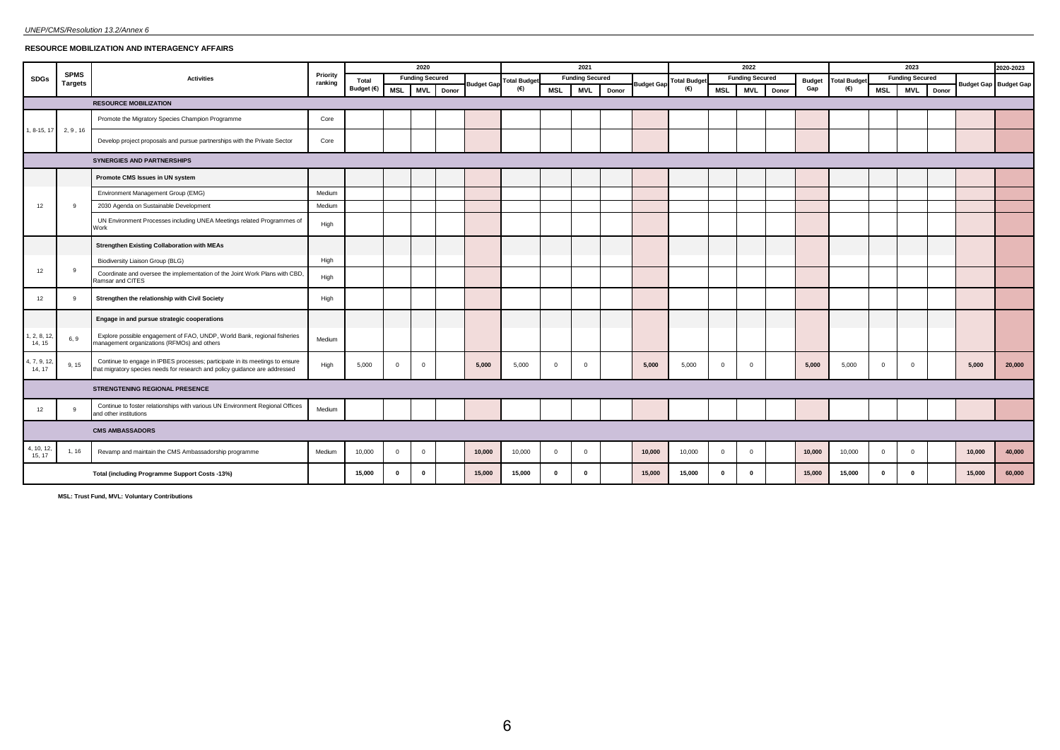# **RESOURCE MOBILIZATION AND INTERAGENCY AFFAIRS**

|                       |                |                                                                                                                                                             |          |              |                | 2020                   |       |                   |                    |                | 2021                   |       |                   |                            |                | 2022                   |       |                      |                     |                | 2023                   |       |        | 2020-2023                    |
|-----------------------|----------------|-------------------------------------------------------------------------------------------------------------------------------------------------------------|----------|--------------|----------------|------------------------|-------|-------------------|--------------------|----------------|------------------------|-------|-------------------|----------------------------|----------------|------------------------|-------|----------------------|---------------------|----------------|------------------------|-------|--------|------------------------------|
| SDGs                  | <b>SPMS</b>    | <b>Activities</b>                                                                                                                                           | Priority | Total        |                | <b>Funding Secured</b> |       |                   | <b>Total Budge</b> |                | <b>Funding Secured</b> |       |                   |                            |                | <b>Funding Secured</b> |       |                      | <b>Total Budget</b> |                | <b>Funding Secured</b> |       |        |                              |
|                       | <b>Targets</b> |                                                                                                                                                             | ranking  | Budget $(€)$ | <b>MSL</b>     | <b>MVL</b>             | Donor | <b>Budget Gap</b> | (€)                | <b>MSL</b>     | <b>MVL</b>             | Donor | <b>Budget Gap</b> | <b>Total Budget</b><br>(€) | <b>MSL</b>     | <b>MVL</b>             | Donor | <b>Budget</b><br>Gap | (€)                 | <b>MSL</b>     | <b>MVL</b>             | Donor |        | <b>Budget Gap Budget Gap</b> |
|                       |                | <b>RESOURCE MOBILIZATION</b>                                                                                                                                |          |              |                |                        |       |                   |                    |                |                        |       |                   |                            |                |                        |       |                      |                     |                |                        |       |        |                              |
|                       |                | Promote the Migratory Species Champion Programme                                                                                                            | Core     |              |                |                        |       |                   |                    |                |                        |       |                   |                            |                |                        |       |                      |                     |                |                        |       |        |                              |
| 1, 8-15, 17           | 2, 9, 16       | Develop project proposals and pursue partnerships with the Private Sector                                                                                   | Core     |              |                |                        |       |                   |                    |                |                        |       |                   |                            |                |                        |       |                      |                     |                |                        |       |        |                              |
|                       |                | <b>SYNERGIES AND PARTNERSHIPS</b>                                                                                                                           |          |              |                |                        |       |                   |                    |                |                        |       |                   |                            |                |                        |       |                      |                     |                |                        |       |        |                              |
|                       |                | Promote CMS Issues in UN system                                                                                                                             |          |              |                |                        |       |                   |                    |                |                        |       |                   |                            |                |                        |       |                      |                     |                |                        |       |        |                              |
|                       |                | Environment Management Group (EMG)                                                                                                                          | Medium   |              |                |                        |       |                   |                    |                |                        |       |                   |                            |                |                        |       |                      |                     |                |                        |       |        |                              |
| 12                    | 9              | 2030 Agenda on Sustainable Development                                                                                                                      | Medium   |              |                |                        |       |                   |                    |                |                        |       |                   |                            |                |                        |       |                      |                     |                |                        |       |        |                              |
|                       |                | UN Environment Processes including UNEA Meetings related Programmes of<br>Work                                                                              | High     |              |                |                        |       |                   |                    |                |                        |       |                   |                            |                |                        |       |                      |                     |                |                        |       |        |                              |
|                       |                | <b>Strengthen Existing Collaboration with MEAs</b>                                                                                                          |          |              |                |                        |       |                   |                    |                |                        |       |                   |                            |                |                        |       |                      |                     |                |                        |       |        |                              |
|                       |                | Biodiversity Liaison Group (BLG)                                                                                                                            | High     |              |                |                        |       |                   |                    |                |                        |       |                   |                            |                |                        |       |                      |                     |                |                        |       |        |                              |
| 12                    | 9              | Coordinate and oversee the implementation of the Joint Work Plans with CBD,<br>Ramsar and CITES                                                             | High     |              |                |                        |       |                   |                    |                |                        |       |                   |                            |                |                        |       |                      |                     |                |                        |       |        |                              |
| 12                    | -9             | Strengthen the relationship with Civil Society                                                                                                              | High     |              |                |                        |       |                   |                    |                |                        |       |                   |                            |                |                        |       |                      |                     |                |                        |       |        |                              |
|                       |                | Engage in and pursue strategic cooperations                                                                                                                 |          |              |                |                        |       |                   |                    |                |                        |       |                   |                            |                |                        |       |                      |                     |                |                        |       |        |                              |
| 1, 2, 8, 12<br>14, 15 | 6, 9           | Explore possible engagement of FAO, UNDP, World Bank, regional fisheries<br>management organizations (RFMOs) and others                                     | Medium   |              |                |                        |       |                   |                    |                |                        |       |                   |                            |                |                        |       |                      |                     |                |                        |       |        |                              |
| 1, 7, 9, 12<br>14, 17 | 9, 15          | Continue to engage in IPBES processes; participate in its meetings to ensure<br>that migratory species needs for research and policy guidance are addressed | High     | 5,000        | $\Omega$       | $\overline{0}$         |       | 5,000             | 5,000              | $\overline{0}$ | $\Omega$               |       | 5,000             | 5,000                      | $\overline{0}$ | $^{\circ}$             |       | 5,000                | 5,000               | $\overline{0}$ | $\Omega$               |       | 5,000  | 20,000                       |
|                       |                | <b>STRENGTENING REGIONAL PRESENCE</b>                                                                                                                       |          |              |                |                        |       |                   |                    |                |                        |       |                   |                            |                |                        |       |                      |                     |                |                        |       |        |                              |
| 12                    | 9              | Continue to foster relationships with various UN Environment Regional Offices<br>and other institutions                                                     | Medium   |              |                |                        |       |                   |                    |                |                        |       |                   |                            |                |                        |       |                      |                     |                |                        |       |        |                              |
|                       |                | <b>CMS AMBASSADORS</b>                                                                                                                                      |          |              |                |                        |       |                   |                    |                |                        |       |                   |                            |                |                        |       |                      |                     |                |                        |       |        |                              |
| 4, 10, 12,<br>15, 17  | 1, 16          | Revamp and maintain the CMS Ambassadorship programme                                                                                                        | Medium   | 10,000       | $\overline{0}$ | $\mathbf 0$            |       | 10,000            | 10,000             | $\overline{0}$ | $\overline{0}$         |       | 10,000            | 10,000                     | $\mathbf{0}$   | $\overline{0}$         |       | 10,000               | 10,000              | $\overline{0}$ | $\Omega$               |       | 10,000 | 40,000                       |
|                       |                | Total (including Programme Support Costs -13%)                                                                                                              |          | 15,000       | $\mathbf{0}$   | $\mathbf{0}$           |       | 15,000            | 15,000             | $\mathbf{0}$   | $\mathbf{0}$           |       | 15,000            | 15,000                     | $\mathbf{0}$   | $\mathbf{0}$           |       | 15,000               | 15,000              | $\mathbf{0}$   | $\mathbf{r}$           |       | 15,000 | 60,000                       |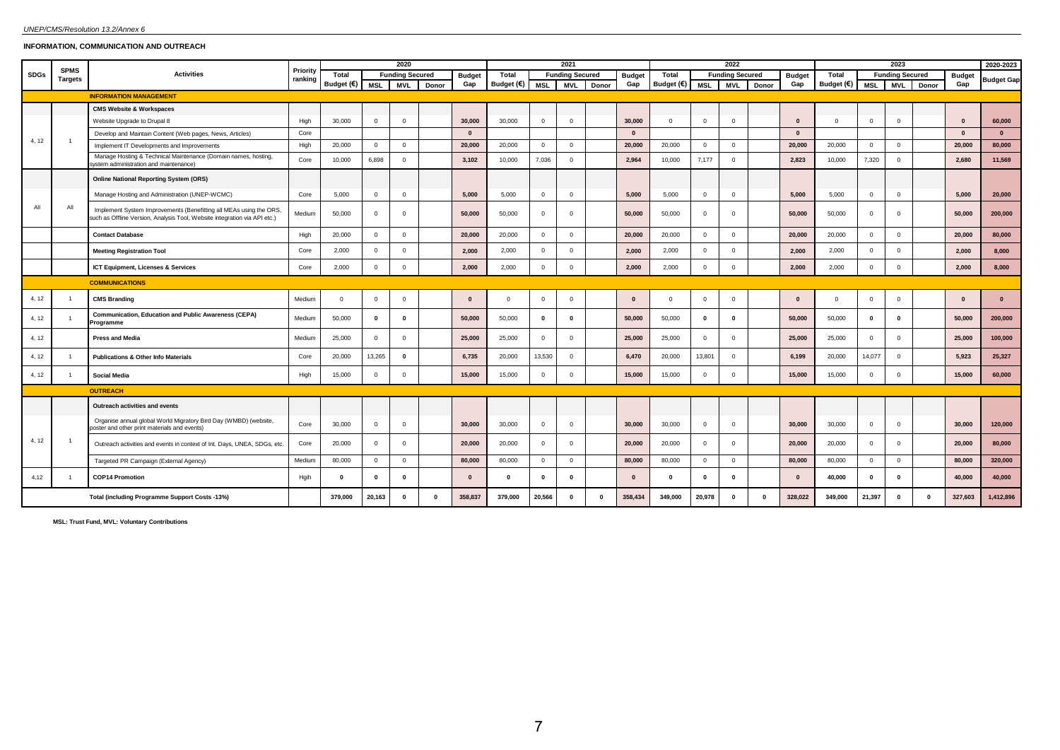# *UNEP/CMS/Resolution 13.2/Annex 6*

# **INFORMATION, COMMUNICATION AND OUTREACH**

|             | <b>SPMS</b>    |                                                                                                                                                 | Priority |            |             | 2020                   |          |               |                |              | 2021                   |              |               |              |                | 2022                   |          |               |              |                | 2023                   |       |               | 2020-2023         |
|-------------|----------------|-------------------------------------------------------------------------------------------------------------------------------------------------|----------|------------|-------------|------------------------|----------|---------------|----------------|--------------|------------------------|--------------|---------------|--------------|----------------|------------------------|----------|---------------|--------------|----------------|------------------------|-------|---------------|-------------------|
| <b>SDGs</b> | <b>Targets</b> | <b>Activities</b>                                                                                                                               | ranking  | Total      |             | <b>Funding Secured</b> |          | <b>Budget</b> | Total          |              | <b>Funding Secured</b> |              | <b>Budget</b> | Total        |                | <b>Funding Secured</b> |          | <b>Budget</b> | Total        |                | <b>Funding Secured</b> |       | <b>Budget</b> | <b>Budget Gap</b> |
|             |                |                                                                                                                                                 |          | Budget (€) | <b>MSL</b>  | <b>MVL</b>             | Donor    | Gap           | Budget (€) MSL |              | <b>MVL</b>             | Donor        | Gap           | Budget (€)   | MSL            | <b>MVL</b>             | Donor    | Gap           | Budget (€)   | <b>MSL</b>     | <b>MVL</b>             | Donor | Gap           |                   |
|             |                | <b>INFORMATION MANAGEMENT</b>                                                                                                                   |          |            |             |                        |          |               |                |              |                        |              |               |              |                |                        |          |               |              |                |                        |       |               |                   |
|             |                | <b>CMS Website &amp; Workspaces</b>                                                                                                             |          |            |             |                        |          |               |                |              |                        |              |               |              |                |                        |          |               |              |                |                        |       |               |                   |
|             |                | Website Upgrade to Drupal 8                                                                                                                     | High     | 30,000     | $\mathbf 0$ | $\mathbf{0}$           |          | 30,000        | 30,000         | $\mathbf{0}$ | $\mathbf{0}$           |              | 30,000        | $\mathbf{0}$ | $\overline{0}$ | $\overline{0}$         |          | $\Omega$      | $\mathbf{0}$ | $^{\circ}$     | $\Omega$               |       | $\bf{0}$      | 60,000            |
| 4, 12       | $\overline{1}$ | Develop and Maintain Content (Web pages, News, Articles)                                                                                        | Core     |            |             |                        |          | $\mathbf{0}$  |                |              |                        |              | $\mathbf{0}$  |              |                |                        |          | $\mathbf{0}$  |              |                |                        |       | $\bf{0}$      | $\mathbf{0}$      |
|             |                | Implement IT Developments and Improvements                                                                                                      | High     | 20,000     | $\circ$     | $^{\circ}$             |          | 20,000        | 20,000         | $\circ$      | $\Omega$               |              | 20,000        | 20,000       | $\overline{0}$ | $\overline{0}$         |          | 20,000        | 20,000       | $^{\circ}$     | $\overline{0}$         |       | 20,000        | 80,000            |
|             |                | Manage Hosting & Technical Maintenance (Domain names, hosting,<br>ystem administration and maintenance)                                         | Core     | 10,000     | 6,898       | $\mathbf{0}$           |          | 3,102         | 10,000         | 7,036        | $\mathbf{0}$           |              | 2,964         | 10,000       | 7,177          | $\mathbf{0}$           |          | 2,823         | 10,000       | 7,320          | $\overline{0}$         |       | 2,680         | 11,569            |
|             |                | <b>Online National Reporting System (ORS)</b>                                                                                                   |          |            |             |                        |          |               |                |              |                        |              |               |              |                |                        |          |               |              |                |                        |       |               |                   |
|             |                | Manage Hosting and Administration (UNEP-WCMC)                                                                                                   | Core     | 5,000      | $\circ$     | $\circ$                |          | 5,000         | 5,000          | $\circ$      | $^{\circ}$             |              | 5,000         | 5,000        | $\overline{0}$ | $\overline{0}$         |          | 5,000         | 5,000        | $^{\circ}$     | $\mathbf{0}$           |       | 5,000         | 20,000            |
| All         | All            | Implement System Improvements (Benefitting all MEAs using the ORS,<br>such as Offline Version, Analysis Tool, Website integration via API etc.) | Medium   | 50,000     | $\mathbf 0$ | $\mathbf{0}$           |          | 50,000        | 50,000         | $\mathbf{0}$ | $^{\circ}$             |              | 50,000        | 50,000       | $\overline{0}$ | $\overline{0}$         |          | 50,000        | 50,000       | $\Omega$       | $\Omega$               |       | 50,000        | 200,000           |
|             |                | <b>Contact Database</b>                                                                                                                         | High     | 20,000     | $\mathbf 0$ | $\mathbf 0$            |          | 20,000        | 20,000         | $\mathbf 0$  | $\Omega$               |              | 20,000        | 20,000       | $\overline{0}$ | $\mathbf 0$            |          | 20,000        | 20,000       | $\Omega$       | $\Omega$               |       | 20,000        | 80,000            |
|             |                | <b>Meeting Registration Tool</b>                                                                                                                | Core     | 2,000      | $\mathbf 0$ | $\mathbf{0}$           |          | 2,000         | 2,000          | $\mathbf 0$  | $\mathbf{0}$           |              | 2,000         | 2,000        | $\mathbf 0$    | $\mathbf{0}$           |          | 2,000         | 2,000        | $\overline{0}$ | $\mathbf{0}$           |       | 2,000         | 8,000             |
|             |                | ICT Equipment, Licenses & Services                                                                                                              | Core     | 2,000      | $\mathbf 0$ | $\mathsf 0$            |          | 2,000         | 2,000          | $\mathsf 0$  | $\mathbf 0$            |              | 2,000         | 2,000        | $\circ$        | $\mathbf 0$            |          | 2,000         | 2,000        | $\mathbf 0$    | $\mathbf 0$            |       | 2,000         | 8,000             |
|             |                | <b>COMMUNICATIONS</b>                                                                                                                           |          |            |             |                        |          |               |                |              |                        |              |               |              |                |                        |          |               |              |                |                        |       |               |                   |
| 4, 12       |                | <b>CMS Branding</b>                                                                                                                             | Medium   | $\Omega$   | $\mathbf 0$ | $\mathbf{0}$           |          | $\mathbf{0}$  | $\mathbf{0}$   | $\mathbf{0}$ | $\Omega$               |              | $\mathbf{0}$  | $\mathbf{0}$ | $\Omega$       | $\mathbf{0}$           |          | $\Omega$      | $^{\circ}$   | $\Omega$       | $\overline{0}$         |       | $\mathbf{0}$  | $\bf{0}$          |
| 4, 12       |                | Communication, Education and Public Awareness (CEPA)<br>Programme                                                                               | Medium   | 50,000     | $\mathbf 0$ | $\mathbf 0$            |          | 50,000        | 50,000         | $\mathbf 0$  | $\mathbf{0}$           |              | 50,000        | 50,000       | $\mathbf{0}$   | $\mathbf{0}$           |          | 50,000        | 50,000       | $\mathbf{0}$   | $\mathbf{0}$           |       | 50,000        | 200,000           |
| 4, 12       |                | <b>Press and Media</b>                                                                                                                          | Medium   | 25,000     | $\mathbf 0$ | $\mathbf{0}$           |          | 25,000        | 25,000         | $\mathbf{0}$ | $\Omega$               |              | 25,000        | 25,000       | $\overline{0}$ | $\mathbf{0}$           |          | 25,000        | 25,000       | $\Omega$       | $\Omega$               |       | 25,000        | 100,000           |
| 4, 12       |                | <b>Publications &amp; Other Info Materials</b>                                                                                                  | Core     | 20,000     | 13,265      | $\mathbf 0$            |          | 6,735         | 20,000         | 13,530       | $\mathbf{0}$           |              | 6,470         | 20,000       | 13,801         | $\mathbf{0}$           |          | 6,199         | 20,000       | 14,077         | $\mathbf 0$            |       | 5,923         | 25,327            |
| 4, 12       |                | <b>Social Media</b>                                                                                                                             | High     | 15,000     | $\mathbf 0$ | $\mathbf{0}$           |          | 15,000        | 15,000         | $\mathbf{0}$ | $^{\circ}$             |              | 15,000        | 15,000       | $\overline{0}$ | $\mathbf{0}$           |          | 15,000        | 15,000       | $^{\circ}$     | $\mathbf{0}$           |       | 15,000        | 60,000            |
|             |                | <b>OUTREACH</b>                                                                                                                                 |          |            |             |                        |          |               |                |              |                        |              |               |              |                |                        |          |               |              |                |                        |       |               |                   |
|             |                | Outreach activities and events                                                                                                                  |          |            |             |                        |          |               |                |              |                        |              |               |              |                |                        |          |               |              |                |                        |       |               |                   |
|             |                | Organise annual global World Migratory Bird Day (WMBD) (website,<br>poster and other print materials and events)                                | Core     | 30,000     | $\mathbf 0$ | $\circ$                |          | 30,000        | 30,000         | $\mathbf{0}$ | $\mathbf{0}$           |              | 30,000        | 30,000       | $\overline{0}$ | $\overline{0}$         |          | 30,000        | 30,000       | $\mathbf{0}$   | $\mathbf{0}$           |       | 30,000        | 120,000           |
| 4, 12       | $\overline{1}$ | Outreach activities and events in context of Int. Days, UNEA, SDGs, etc.                                                                        | Core     | 20,000     | $\mathbf 0$ | $\mathbf{0}$           |          | 20,000        | 20,000         | $\mathbf{0}$ | $\Omega$               |              | 20,000        | 20,000       | $\overline{0}$ | $\mathbf{0}$           |          | 20,000        | 20,000       | $\Omega$       | $\Omega$               |       | 20,000        | 80,000            |
|             |                | Targeted PR Campaign (External Agency)                                                                                                          | Medium   | 80,000     | $\mathbf 0$ | $\circ$                |          | 80,000        | 80,000         | $\mathbf 0$  | $\Omega$               |              | 80,000        | 80,000       | $\mathbf{0}$   | $\mathbf 0$            |          | 80,000        | 80,000       | $\mathbf{0}$   | $\overline{0}$         |       | 80,000        | 320,000           |
| 4,12        | - 1            | <b>COP14 Promotion</b>                                                                                                                          | Hgih     | 0          | $\mathbf 0$ | $\mathbf 0$            |          | $\Omega$      | $\Omega$       | $\mathbf 0$  | $\mathbf{0}$           |              | $\mathbf{0}$  | $\mathbf 0$  | 0              | $\mathbf{0}$           |          | $\mathbf{0}$  | 40,000       | $\mathbf{0}$   | $\mathbf{0}$           |       | 40,000        | 40.000            |
|             |                | Total (including Programme Support Costs -13%)                                                                                                  |          | 379,000    | 20,163      | $\mathbf{0}$           | $\Omega$ | 358,837       | 379,000        | 20,566       | $\mathbf{0}$           | $\mathbf{0}$ | 358,434       | 349,000      | 20,978         | $\mathbf{0}$           | $\Omega$ | 328,022       | 349,000      | 21,397         | $\mathbf 0$            | 0     | 327,603       | 1,412,896         |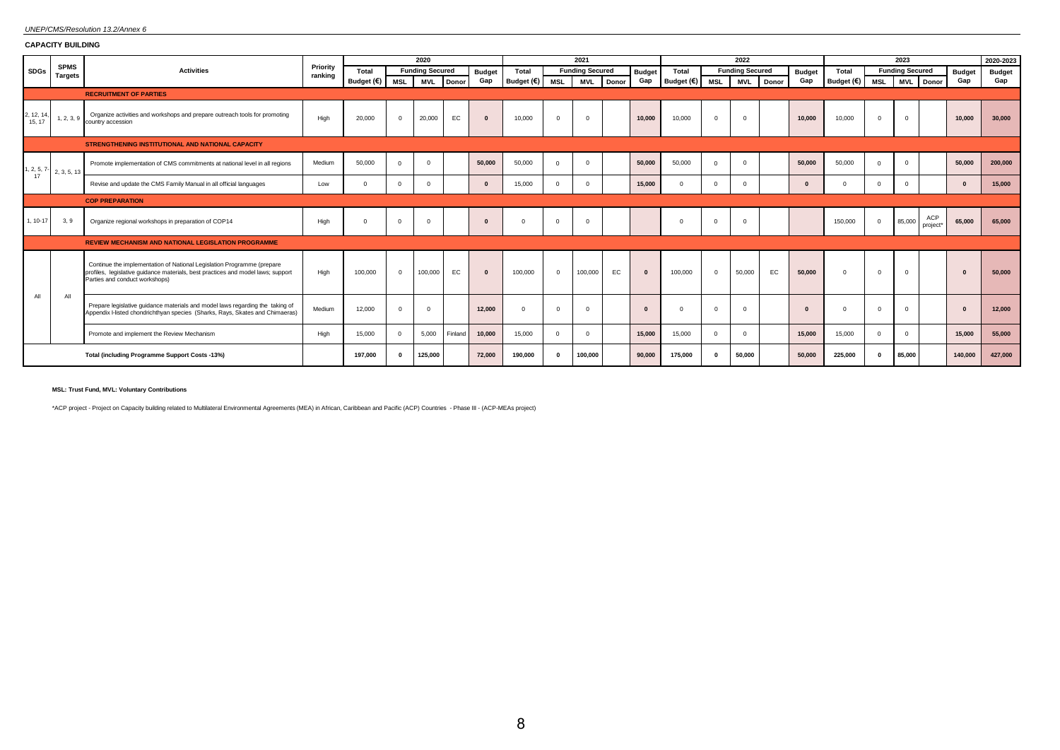# *UNEP/CMS/Resolution 13.2/Annex 6*

**CAPACITY BUILDING**

|                      |                               |                                                                                                                                                                                              |                     |            |              | 2020                   |               |                     |          | 2021                   |               |                     |              | 2022                   |       |               |            |                | 2023                   |                 |               | 2020-2023     |
|----------------------|-------------------------------|----------------------------------------------------------------------------------------------------------------------------------------------------------------------------------------------|---------------------|------------|--------------|------------------------|---------------|---------------------|----------|------------------------|---------------|---------------------|--------------|------------------------|-------|---------------|------------|----------------|------------------------|-----------------|---------------|---------------|
| <b>SDGs</b>          | <b>SPMS</b><br><b>Targets</b> | <b>Activities</b>                                                                                                                                                                            | Priority<br>ranking | Total      |              | <b>Funding Secured</b> | <b>Budget</b> | Total               |          | <b>Funding Secured</b> | <b>Budget</b> | Total               |              | <b>Funding Secured</b> |       | <b>Budget</b> | Total      |                | <b>Funding Secured</b> |                 | <b>Budget</b> | <b>Budget</b> |
|                      |                               |                                                                                                                                                                                              |                     | Budget (€) | MSL          | <b>MVL</b><br>Donor    | Gap           | Budget $(\epsilon)$ | MSL      | <b>MVL</b><br>Donor    | Gap           | Budget $(\epsilon)$ | MSL          | <b>MVL</b>             | Donor | Gap           | Budget (€) | MSL            | <b>MVL</b>             | Donor           | Gap           | Gap           |
|                      |                               | <b>RECRUITMENT OF PARTIES</b>                                                                                                                                                                |                     |            |              |                        |               |                     |          |                        |               |                     |              |                        |       |               |            |                |                        |                 |               |               |
| 2, 12, 14,<br>15, 17 | 1, 2, 3, 9                    | Organize activities and workshops and prepare outreach tools for promoting<br>country accession                                                                                              | High                | 20,000     | $\mathbf{0}$ | 20,000<br>EC           | $\Omega$      | 10,000              | $\Omega$ | $\Omega$               | 10.000        | 10,000              | $\Omega$     | $\Omega$               |       | 10.000        | 10,000     | $\Omega$       | $\mathbf 0$            |                 | 10.000        | 30,000        |
|                      |                               | STRENGTHENING INSTITUTIONAL AND NATIONAL CAPACITY                                                                                                                                            |                     |            |              |                        |               |                     |          |                        |               |                     |              |                        |       |               |            |                |                        |                 |               |               |
| 1, 2, 5, 7-          | 2, 3, 5, 13                   | Promote implementation of CMS commitments at national level in all regions                                                                                                                   | Medium              | 50,000     | $\Omega$     | $\Omega$               | 50,000        | 50,000              | $\Omega$ | $\overline{0}$         | 50.000        | 50,000              | $\Omega$     | $\Omega$               |       | 50,000        | 50,000     | $\Omega$       | $\Omega$               |                 | 50,000        | 200,000       |
| 17                   |                               | Revise and update the CMS Family Manual in all official languages                                                                                                                            | Low                 | $\Omega$   | $\Omega$     | $\overline{0}$         | $\Omega$      | 15,000              | $\Omega$ | $\Omega$               | 15,000        |                     | $\Omega$     | $\Omega$               |       |               |            | $\Omega$       | $^{\circ}$             |                 | $\mathbf{0}$  | 15,000        |
|                      |                               | <b>COP PREPARATION</b>                                                                                                                                                                       |                     |            |              |                        |               |                     |          |                        |               |                     |              |                        |       |               |            |                |                        |                 |               |               |
| 1, 10-17             | 3, 9                          | Organize regional workshops in preparation of COP14                                                                                                                                          | High                | $\Omega$   | $\Omega$     | $\Omega$               | $\Omega$      | $\Omega$            | $\Omega$ | $\Omega$               |               |                     | $\Omega$     | $\Omega$               |       |               | 150,000    | $\overline{0}$ | 85,000                 | ACP<br>project* | 65,000        | 65.000        |
|                      |                               | <b>REVIEW MECHANISM AND NATIONAL LEGISLATION PROGRAMME</b>                                                                                                                                   |                     |            |              |                        |               |                     |          |                        |               |                     |              |                        |       |               |            |                |                        |                 |               |               |
|                      |                               | Continue the implementation of National Legislation Programme (prepare<br>profiles, legislative quidance materials, best practices and model laws; support<br>Parties and conduct workshops) | High                | 100,000    | $\mathbf{0}$ | 100,000<br>EC          | $\mathbf{0}$  | 100,000             | $\Omega$ | 100,000<br>EC          | $\mathbf{0}$  | 100,000             | $\mathbf{0}$ | 50,000                 | EC    | 50,000        | $\Omega$   | $\Omega$       | $\mathbf 0$            |                 | $\mathbf{0}$  | 50,000        |
| All                  | All                           | Prepare legislative guidance materials and model laws regarding the taking of<br>Appendix I-listed chondrichthyan species (Sharks, Rays, Skates and Chimaeras)                               | Medium              | 12,000     | $\Omega$     | $\Omega$               | 12.000        | $\Omega$            |          | $\Omega$               | $\Omega$      | $\Omega$            |              | $\Omega$               |       |               |            | $\Omega$       | $\Omega$               |                 | $\mathbf{0}$  | 12,000        |
|                      |                               | Promote and implement the Review Mechanism                                                                                                                                                   | High                | 15,000     | $\Omega$     | 5,000<br>Finland       | 10,000        | 15,000              | $\Omega$ | $\overline{0}$         | 15.000        | 15,000              | $\Omega$     | $\Omega$               |       | 15.000        | 15,000     | $\overline{0}$ | $\overline{0}$         |                 | 15,000        | 55,000        |
|                      |                               | Total (including Programme Support Costs -13%)                                                                                                                                               |                     | 197.000    | $\Omega$     | 125,000                | 72.000        | 190,000             |          | 100,000                | 90.000        | 175,000             |              | 50,000                 |       | 50,000        | 225,000    | $\Omega$       | 85,000                 |                 | 140,000       | 427,000       |

**MSL: Trust Fund, MVL: Voluntary Contributions**

\*ACP project - Project on Capacity building related to Multilateral Environmental Agreements (MEA) in African, Caribbean and Pacific (ACP) Countries - Phase III - (ACP-MEAs project)